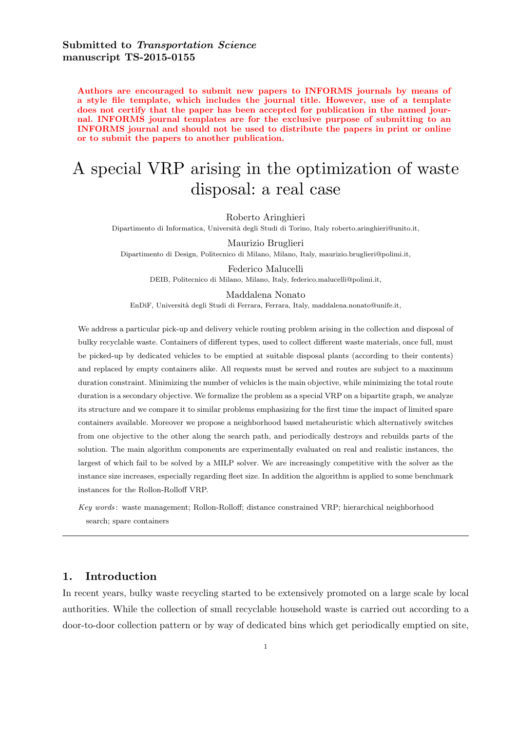Authors are encouraged to submit new papers to INFORMS journals by means of a style file template, which includes the journal title. However, use of a template does not certify that the paper has been accepted for publication in the named journal. INFORMS journal templates are for the exclusive purpose of submitting to an INFORMS journal and should not be used to distribute the papers in print or online or to submit the papers to another publication.

# A special VRP arising in the optimization of waste disposal: a real case

Roberto Aringhieri

Dipartimento di Informatica, Università degli Studi di Torino, Italy roberto.aringhieri@unito.it,

Maurizio Bruglieri Dipartimento di Design, Politecnico di Milano, Milano, Italy, maurizio.bruglieri@polimi.it,

Federico Malucelli DEIB, Politecnico di Milano, Milano, Italy, federico.malucelli@polimi.it,

Maddalena Nonato EnDiF, Universit`a degli Studi di Ferrara, Ferrara, Italy, maddalena.nonato@unife.it,

We address a particular pick-up and delivery vehicle routing problem arising in the collection and disposal of bulky recyclable waste. Containers of different types, used to collect different waste materials, once full, must be picked-up by dedicated vehicles to be emptied at suitable disposal plants (according to their contents) and replaced by empty containers alike. All requests must be served and routes are subject to a maximum duration constraint. Minimizing the number of vehicles is the main objective, while minimizing the total route duration is a secondary objective. We formalize the problem as a special VRP on a bipartite graph, we analyze its structure and we compare it to similar problems emphasizing for the first time the impact of limited spare containers available. Moreover we propose a neighborhood based metaheuristic which alternatively switches from one objective to the other along the search path, and periodically destroys and rebuilds parts of the solution. The main algorithm components are experimentally evaluated on real and realistic instances, the largest of which fail to be solved by a MILP solver. We are increasingly competitive with the solver as the instance size increases, especially regarding fleet size. In addition the algorithm is applied to some benchmark instances for the Rollon-Rolloff VRP.

Key words : waste management; Rollon-Rolloff; distance constrained VRP; hierarchical neighborhood search; spare containers

# 1. Introduction

In recent years, bulky waste recycling started to be extensively promoted on a large scale by local authorities. While the collection of small recyclable household waste is carried out according to a door-to-door collection pattern or by way of dedicated bins which get periodically emptied on site,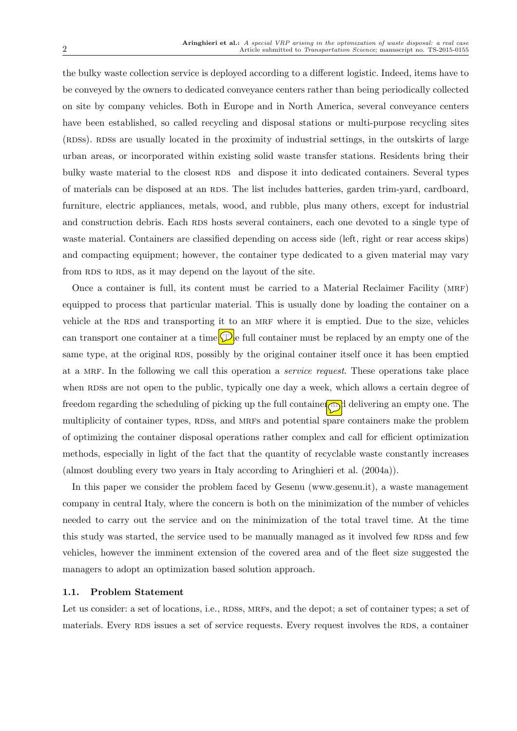the bulky waste collection service is deployed according to a different logistic. Indeed, items have to be conveyed by the owners to dedicated conveyance centers rather than being periodically collected on site by company vehicles. Both in Europe and in North America, several conveyance centers have been established, so called recycling and disposal stations or multi-purpose recycling sites (RDSs). RDSs are usually located in the proximity of industrial settings, in the outskirts of large urban areas, or incorporated within existing solid waste transfer stations. Residents bring their bulky waste material to the closest RDS and dispose it into dedicated containers. Several types of materials can be disposed at an RDS. The list includes batteries, garden trim-yard, cardboard, furniture, electric appliances, metals, wood, and rubble, plus many others, except for industrial and construction debris. Each RDS hosts several containers, each one devoted to a single type of waste material. Containers are classified depending on access side (left, right or rear access skips) and compacting equipment; however, the container type dedicated to a given material may vary from RDS to RDS, as it may depend on the layout of the site.

Once a container is full, its content must be carried to a Material Reclaimer Facility (MRF) equipped to process that particular material. This is usually done by loading the container on a vehicle at the RDS and transporting it to an MRF where it is emptied. Due to the size, vehicles can transport one container at a time.  $\mathcal{D}$  e full container must be replaced by an empty one of the same type, at the original RDS, possibly by the original container itself once it has been emptied at a MRF. In the following we call this operation a *service request*. These operations take place when RDSs are not open to the public, typically one day a week, which allows a certain degree of freedom regarding the scheduling of picking up the full container and delivering an empty one. The multiplicity of container types, RDSs, and MRFs and potential spare containers make the problem of optimizing the container disposal operations rather complex and call for efficient optimization methods, especially in light of the fact that the quantity of recyclable waste constantly increases (almost doubling every two years in Italy according to Aringhieri et al. (2004a)).

In this paper we consider the problem faced by Gesenu (www.gesenu.it), a waste management company in central Italy, where the concern is both on the minimization of the number of vehicles needed to carry out the service and on the minimization of the total travel time. At the time this study was started, the service used to be manually managed as it involved few RDSs and few vehicles, however the imminent extension of the covered area and of the fleet size suggested the managers to adopt an optimization based solution approach.

#### 1.1. Problem Statement

Let us consider: a set of locations, i.e., RDSs, MRFs, and the depot; a set of container types; a set of materials. Every RDS issues a set of service requests. Every request involves the RDS, a container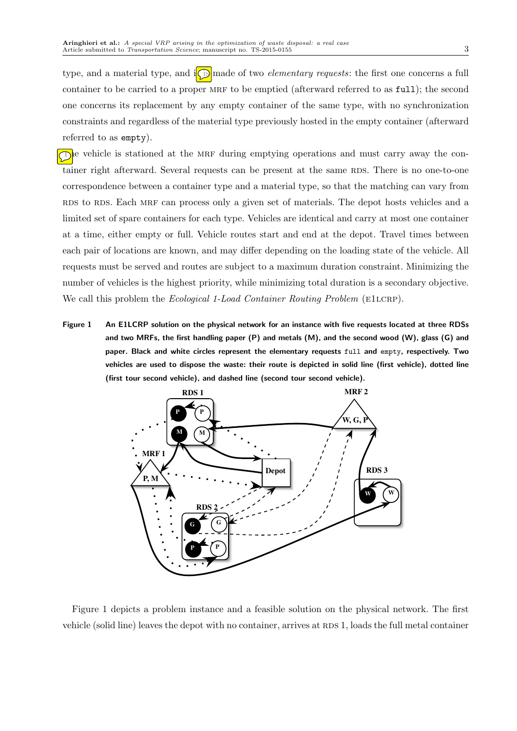type, and a material type, and  $\iint \Omega$  made of two *elementary requests*: the first one concerns a full container to be carried to a proper MRF to be emptied (afterward referred to as full); the second one concerns its replacement by any empty container of the same type, with no synchronization constraints and regardless of the material type previously hosted in the empty container (afterward referred to as empty).

The vehicle is stationed at the MRF during emptying operations and must carry away the container right afterward. Several requests can be present at the same RDS. There is no one-to-one correspondence between a container type and a material type, so that the matching can vary from RDS to RDS. Each MRF can process only a given set of materials. The depot hosts vehicles and a limited set of spare containers for each type. Vehicles are identical and carry at most one container at a time, either empty or full. Vehicle routes start and end at the depot. Travel times between each pair of locations are known, and may differ depending on the loading state of the vehicle. All requests must be served and routes are subject to a maximum duration constraint. Minimizing the number of vehicles is the highest priority, while minimizing total duration is a secondary objective. We call this problem the *Ecological 1-Load Container Routing Problem* (E1LCRP).

Figure 1 An E1LCRP solution on the physical network for an instance with five requests located at three RDSs and two MRFs, the first handling paper (P) and metals (M), and the second wood (W), glass (G) and paper. Black and white circles represent the elementary requests full and empty, respectively. Two vehicles are used to dispose the waste: their route is depicted in solid line (first vehicle), dotted line (first tour second vehicle), and dashed line (second tour second vehicle).



Figure 1 depicts a problem instance and a feasible solution on the physical network. The first vehicle (solid line) leaves the depot with no container, arrives at RDS 1, loads the full metal container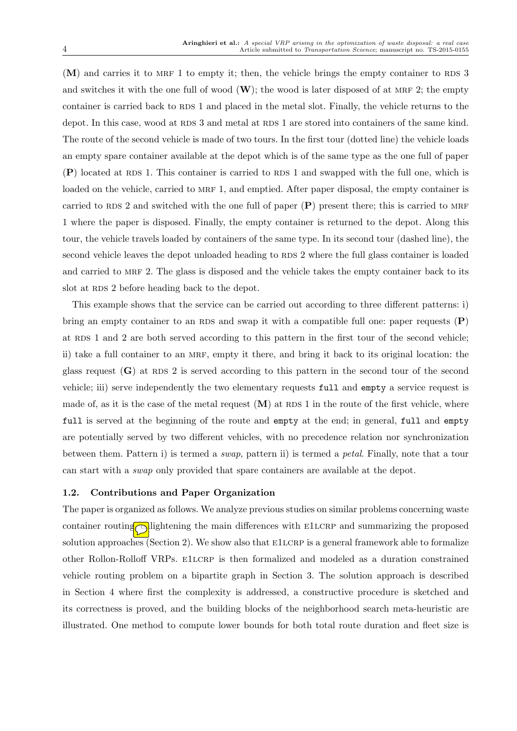$(M)$  and carries it to MRF 1 to empty it; then, the vehicle brings the empty container to RDS 3 and switches it with the one full of wood  $(\mathbf{W})$ ; the wood is later disposed of at MRF 2; the empty container is carried back to RDS 1 and placed in the metal slot. Finally, the vehicle returns to the depot. In this case, wood at RDS 3 and metal at RDS 1 are stored into containers of the same kind. The route of the second vehicle is made of two tours. In the first tour (dotted line) the vehicle loads an empty spare container available at the depot which is of the same type as the one full of paper  $(P)$  located at RDS 1. This container is carried to RDS 1 and swapped with the full one, which is loaded on the vehicle, carried to MRF 1, and emptied. After paper disposal, the empty container is carried to RDS 2 and switched with the one full of paper  $(P)$  present there; this is carried to MRF 1 where the paper is disposed. Finally, the empty container is returned to the depot. Along this tour, the vehicle travels loaded by containers of the same type. In its second tour (dashed line), the second vehicle leaves the depot unloaded heading to RDS 2 where the full glass container is loaded and carried to MRF 2. The glass is disposed and the vehicle takes the empty container back to its slot at RDS 2 before heading back to the depot.

This example shows that the service can be carried out according to three different patterns: i) bring an empty container to an RDS and swap it with a compatible full one: paper requests  $(P)$ at RDS 1 and 2 are both served according to this pattern in the first tour of the second vehicle; ii) take a full container to an MRF, empty it there, and bring it back to its original location: the glass request  $(G)$  at RDS 2 is served according to this pattern in the second tour of the second vehicle; iii) serve independently the two elementary requests full and empty a service request is made of, as it is the case of the metal request  $(M)$  at RDS 1 in the route of the first vehicle, where full is served at the beginning of the route and empty at the end; in general, full and empty are potentially served by two different vehicles, with no precedence relation nor synchronization between them. Pattern i) is termed a swap, pattern ii) is termed a petal. Finally, note that a tour can start with a swap only provided that spare containers are available at the depot.

## 1.2. Contributions and Paper Organization

The paper is organized as follows. We analyze previous studies on similar problems concerning waste container routing enlightening the main differences with  $E1LCRP$  and summarizing the proposed solution approaches (Section 2). We show also that E1LCRP is a general framework able to formalize other Rollon-Rolloff VRPs. E1LCRP is then formalized and modeled as a duration constrained vehicle routing problem on a bipartite graph in Section 3. The solution approach is described in Section 4 where first the complexity is addressed, a constructive procedure is sketched and its correctness is proved, and the building blocks of the neighborhood search meta-heuristic are illustrated. One method to compute lower bounds for both total route duration and fleet size is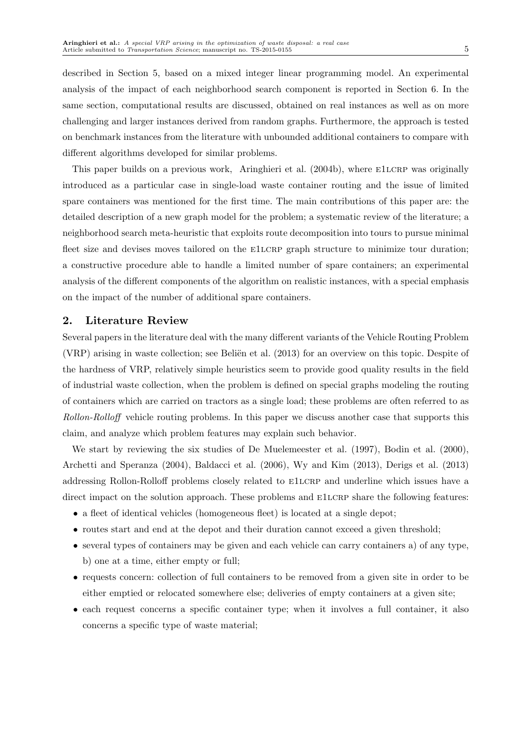described in Section 5, based on a mixed integer linear programming model. An experimental analysis of the impact of each neighborhood search component is reported in Section 6. In the same section, computational results are discussed, obtained on real instances as well as on more challenging and larger instances derived from random graphs. Furthermore, the approach is tested on benchmark instances from the literature with unbounded additional containers to compare with different algorithms developed for similar problems.

This paper builds on a previous work, Aringhieri et al. (2004b), where E1LCRP was originally introduced as a particular case in single-load waste container routing and the issue of limited spare containers was mentioned for the first time. The main contributions of this paper are: the detailed description of a new graph model for the problem; a systematic review of the literature; a neighborhood search meta-heuristic that exploits route decomposition into tours to pursue minimal fleet size and devises moves tailored on the E1LCRP graph structure to minimize tour duration; a constructive procedure able to handle a limited number of spare containers; an experimental analysis of the different components of the algorithm on realistic instances, with a special emphasis on the impact of the number of additional spare containers.

# 2. Literature Review

Several papers in the literature deal with the many different variants of the Vehicle Routing Problem (VRP) arising in waste collection; see Beliën et al.  $(2013)$  for an overview on this topic. Despite of the hardness of VRP, relatively simple heuristics seem to provide good quality results in the field of industrial waste collection, when the problem is defined on special graphs modeling the routing of containers which are carried on tractors as a single load; these problems are often referred to as Rollon-Rolloff vehicle routing problems. In this paper we discuss another case that supports this claim, and analyze which problem features may explain such behavior.

We start by reviewing the six studies of De Muelemeester et al.  $(1997)$ , Bodin et al.  $(2000)$ , Archetti and Speranza (2004), Baldacci et al. (2006), Wy and Kim (2013), Derigs et al. (2013) addressing Rollon-Rolloff problems closely related to  $E1LCRP$  and underline which issues have a direct impact on the solution approach. These problems and E1LCRP share the following features:

- a fleet of identical vehicles (homogeneous fleet) is located at a single depot;
- routes start and end at the depot and their duration cannot exceed a given threshold;
- several types of containers may be given and each vehicle can carry containers a) of any type, b) one at a time, either empty or full;
- requests concern: collection of full containers to be removed from a given site in order to be either emptied or relocated somewhere else; deliveries of empty containers at a given site;
- each request concerns a specific container type; when it involves a full container, it also concerns a specific type of waste material;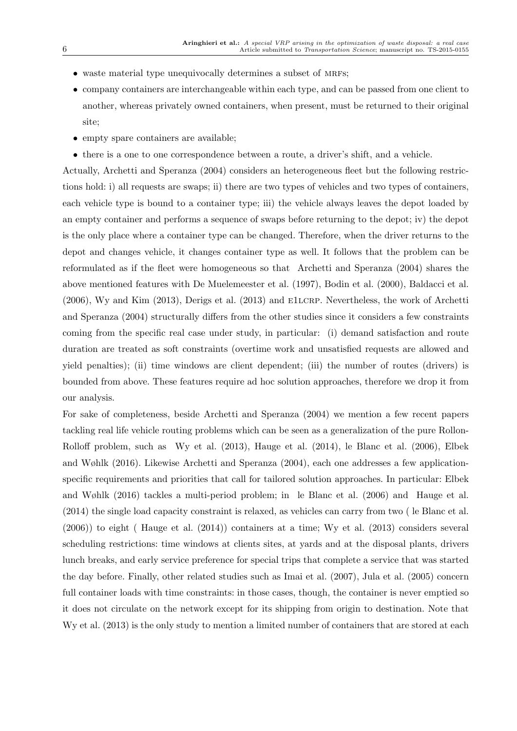- $\bullet$  waste material type unequivocally determines a subset of MRFs:
- company containers are interchangeable within each type, and can be passed from one client to another, whereas privately owned containers, when present, must be returned to their original site;
- empty spare containers are available;
- there is a one to one correspondence between a route, a driver's shift, and a vehicle.

Actually, Archetti and Speranza (2004) considers an heterogeneous fleet but the following restrictions hold: i) all requests are swaps; ii) there are two types of vehicles and two types of containers, each vehicle type is bound to a container type; iii) the vehicle always leaves the depot loaded by an empty container and performs a sequence of swaps before returning to the depot; iv) the depot is the only place where a container type can be changed. Therefore, when the driver returns to the depot and changes vehicle, it changes container type as well. It follows that the problem can be reformulated as if the fleet were homogeneous so that Archetti and Speranza (2004) shares the above mentioned features with De Muelemeester et al. (1997), Bodin et al. (2000), Baldacci et al. (2006), Wy and Kim (2013), Derigs et al. (2013) and e1lcrp. Nevertheless, the work of Archetti and Speranza (2004) structurally differs from the other studies since it considers a few constraints coming from the specific real case under study, in particular: (i) demand satisfaction and route duration are treated as soft constraints (overtime work and unsatisfied requests are allowed and yield penalties); (ii) time windows are client dependent; (iii) the number of routes (drivers) is bounded from above. These features require ad hoc solution approaches, therefore we drop it from our analysis.

For sake of completeness, beside Archetti and Speranza (2004) we mention a few recent papers tackling real life vehicle routing problems which can be seen as a generalization of the pure Rollon-Rolloff problem, such as Wy et al. (2013), Hauge et al. (2014), le Blanc et al. (2006), Elbek and Wøhlk (2016). Likewise Archetti and Speranza (2004), each one addresses a few applicationspecific requirements and priorities that call for tailored solution approaches. In particular: Elbek and Wøhlk (2016) tackles a multi-period problem; in le Blanc et al. (2006) and Hauge et al. (2014) the single load capacity constraint is relaxed, as vehicles can carry from two ( le Blanc et al. (2006)) to eight ( Hauge et al. (2014)) containers at a time; Wy et al. (2013) considers several scheduling restrictions: time windows at clients sites, at yards and at the disposal plants, drivers lunch breaks, and early service preference for special trips that complete a service that was started the day before. Finally, other related studies such as Imai et al. (2007), Jula et al. (2005) concern full container loads with time constraints: in those cases, though, the container is never emptied so it does not circulate on the network except for its shipping from origin to destination. Note that Wy et al. (2013) is the only study to mention a limited number of containers that are stored at each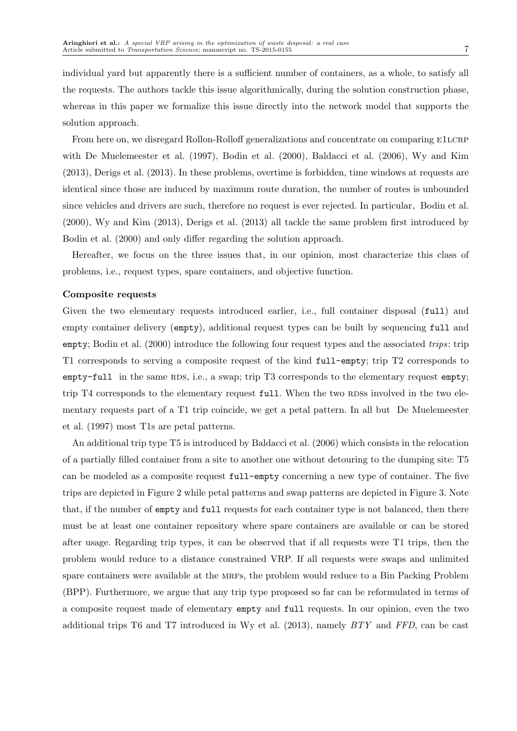individual yard but apparently there is a sufficient number of containers, as a whole, to satisfy all the requests. The authors tackle this issue algorithmically, during the solution construction phase, whereas in this paper we formalize this issue directly into the network model that supports the solution approach.

From here on, we disregard Rollon-Rolloff generalizations and concentrate on comparing E1LCRP with De Muelemeester et al. (1997), Bodin et al. (2000), Baldacci et al. (2006), Wy and Kim (2013), Derigs et al. (2013). In these problems, overtime is forbidden, time windows at requests are identical since those are induced by maximum route duration, the number of routes is unbounded since vehicles and drivers are such, therefore no request is ever rejected. In particular, Bodin et al. (2000), Wy and Kim (2013), Derigs et al. (2013) all tackle the same problem first introduced by Bodin et al. (2000) and only differ regarding the solution approach.

Hereafter, we focus on the three issues that, in our opinion, most characterize this class of problems, i.e., request types, spare containers, and objective function.

#### Composite requests

Given the two elementary requests introduced earlier, i.e., full container disposal (full) and empty container delivery (empty), additional request types can be built by sequencing full and empty; Bodin et al. (2000) introduce the following four request types and the associated trips: trip T1 corresponds to serving a composite request of the kind full-empty; trip T2 corresponds to  $\epsilon$  empty-full in the same RDS, i.e., a swap; trip T3 corresponds to the elementary request empty; trip T4 corresponds to the elementary request full. When the two RDSs involved in the two elementary requests part of a T1 trip coincide, we get a petal pattern. In all but De Muelemeester et al. (1997) most T1s are petal patterns.

An additional trip type T5 is introduced by Baldacci et al. (2006) which consists in the relocation of a partially filled container from a site to another one without detouring to the dumping site: T5 can be modeled as a composite request full-empty concerning a new type of container. The five trips are depicted in Figure 2 while petal patterns and swap patterns are depicted in Figure 3. Note that, if the number of empty and full requests for each container type is not balanced, then there must be at least one container repository where spare containers are available or can be stored after usage. Regarding trip types, it can be observed that if all requests were T1 trips, then the problem would reduce to a distance constrained VRP. If all requests were swaps and unlimited spare containers were available at the MRFs, the problem would reduce to a Bin Packing Problem (BPP). Furthermore, we argue that any trip type proposed so far can be reformulated in terms of a composite request made of elementary empty and full requests. In our opinion, even the two additional trips T6 and T7 introduced in Wy et al.  $(2013)$ , namely  $BTY$  and  $FFD$ , can be cast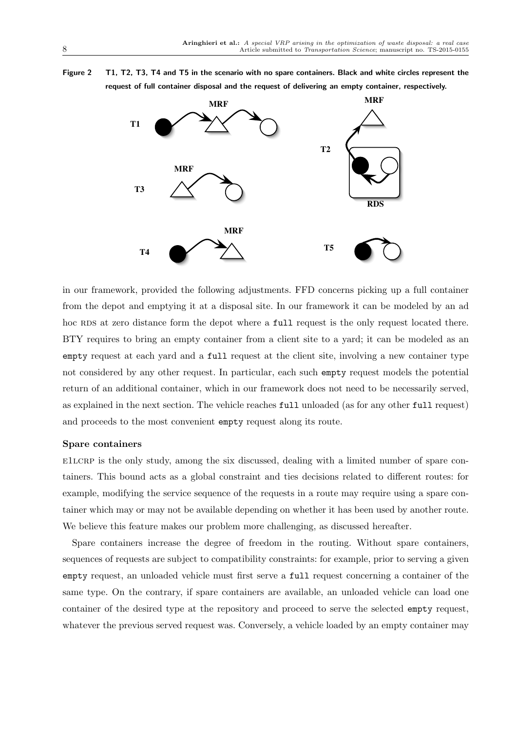Figure 2 T1, T2, T3, T4 and T5 in the scenario with no spare containers. Black and white circles represent the request of full container disposal and the request of delivering an empty container, respectively.



in our framework, provided the following adjustments. FFD concerns picking up a full container from the depot and emptying it at a disposal site. In our framework it can be modeled by an ad hoc RDS at zero distance form the depot where a full request is the only request located there. BTY requires to bring an empty container from a client site to a yard; it can be modeled as an empty request at each yard and a full request at the client site, involving a new container type not considered by any other request. In particular, each such empty request models the potential return of an additional container, which in our framework does not need to be necessarily served, as explained in the next section. The vehicle reaches full unloaded (as for any other full request) and proceeds to the most convenient empty request along its route.

## Spare containers

e1lcrp is the only study, among the six discussed, dealing with a limited number of spare containers. This bound acts as a global constraint and ties decisions related to different routes: for example, modifying the service sequence of the requests in a route may require using a spare container which may or may not be available depending on whether it has been used by another route. We believe this feature makes our problem more challenging, as discussed hereafter.

Spare containers increase the degree of freedom in the routing. Without spare containers, sequences of requests are subject to compatibility constraints: for example, prior to serving a given empty request, an unloaded vehicle must first serve a full request concerning a container of the same type. On the contrary, if spare containers are available, an unloaded vehicle can load one container of the desired type at the repository and proceed to serve the selected empty request, whatever the previous served request was. Conversely, a vehicle loaded by an empty container may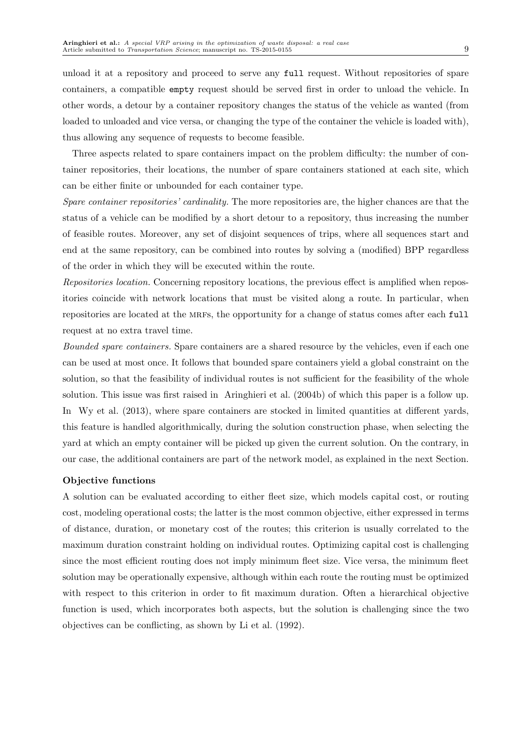unload it at a repository and proceed to serve any full request. Without repositories of spare containers, a compatible empty request should be served first in order to unload the vehicle. In other words, a detour by a container repository changes the status of the vehicle as wanted (from loaded to unloaded and vice versa, or changing the type of the container the vehicle is loaded with), thus allowing any sequence of requests to become feasible.

Three aspects related to spare containers impact on the problem difficulty: the number of container repositories, their locations, the number of spare containers stationed at each site, which can be either finite or unbounded for each container type.

Spare container repositories' cardinality. The more repositories are, the higher chances are that the status of a vehicle can be modified by a short detour to a repository, thus increasing the number of feasible routes. Moreover, any set of disjoint sequences of trips, where all sequences start and end at the same repository, can be combined into routes by solving a (modified) BPP regardless of the order in which they will be executed within the route.

Repositories location. Concerning repository locations, the previous effect is amplified when repositories coincide with network locations that must be visited along a route. In particular, when repositories are located at the MRFs, the opportunity for a change of status comes after each full request at no extra travel time.

Bounded spare containers. Spare containers are a shared resource by the vehicles, even if each one can be used at most once. It follows that bounded spare containers yield a global constraint on the solution, so that the feasibility of individual routes is not sufficient for the feasibility of the whole solution. This issue was first raised in Aringhieri et al. (2004b) of which this paper is a follow up. In Wy et al. (2013), where spare containers are stocked in limited quantities at different yards, this feature is handled algorithmically, during the solution construction phase, when selecting the yard at which an empty container will be picked up given the current solution. On the contrary, in our case, the additional containers are part of the network model, as explained in the next Section.

## Objective functions

A solution can be evaluated according to either fleet size, which models capital cost, or routing cost, modeling operational costs; the latter is the most common objective, either expressed in terms of distance, duration, or monetary cost of the routes; this criterion is usually correlated to the maximum duration constraint holding on individual routes. Optimizing capital cost is challenging since the most efficient routing does not imply minimum fleet size. Vice versa, the minimum fleet solution may be operationally expensive, although within each route the routing must be optimized with respect to this criterion in order to fit maximum duration. Often a hierarchical objective function is used, which incorporates both aspects, but the solution is challenging since the two objectives can be conflicting, as shown by Li et al. (1992).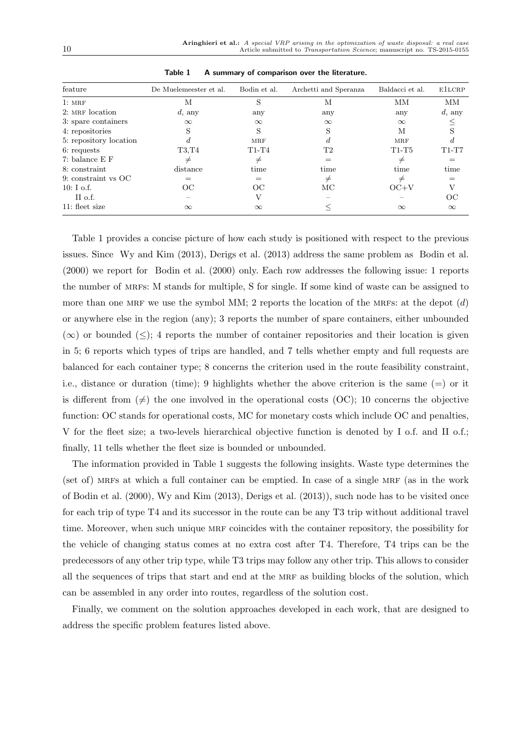| feature                | De Muelemeester et al. | Bodin et al. | Archetti and Speranza | Baldacci et al. | ElLCRP    |
|------------------------|------------------------|--------------|-----------------------|-----------------|-----------|
| 1:MRF                  | М                      | S            | М                     | MM              | MМ        |
| 2: MRF location        | $d$ , any              | any          | any                   | any             | $d$ , any |
| 3: spare containers    | $\infty$               | $\infty$     | $\infty$              | $\infty$        |           |
| 4: repositories        | S                      | S            |                       | М               | S         |
| 5: repository location |                        | <b>MRF</b>   |                       | <b>MRF</b>      | d.        |
| 6: requests            | T3.T4                  | $T1-T4$      | T2                    | $T1-T5$         | $T1-T7$   |
| 7: balance E F         | $\neq$                 | ≠            |                       | $\neq$          |           |
| 8: constraint          | distance               | time         | time                  | time            | time      |
| 9: constraint vs OC    | $=$                    | $=$          | $\neq$                | $\neq$          |           |
| $10: I$ o.f.           | OC                     | OC           | МC                    | $OC+V$          | V         |
| II o.f.                |                        |              |                       |                 | OС        |
| 11: fleet size         | $\infty$               | $\infty$     |                       | $\infty$        | $\infty$  |

Table 1 A summary of comparison over the literature.

Table 1 provides a concise picture of how each study is positioned with respect to the previous issues. Since Wy and Kim (2013), Derigs et al. (2013) address the same problem as Bodin et al. (2000) we report for Bodin et al. (2000) only. Each row addresses the following issue: 1 reports the number of mrfs: M stands for multiple, S for single. If some kind of waste can be assigned to more than one MRF we use the symbol MM; 2 reports the location of the MRFs: at the depot  $(d)$ or anywhere else in the region (any); 3 reports the number of spare containers, either unbounded  $(\infty)$  or bounded  $(\leq)$ ; 4 reports the number of container repositories and their location is given in 5; 6 reports which types of trips are handled, and 7 tells whether empty and full requests are balanced for each container type; 8 concerns the criterion used in the route feasibility constraint, i.e., distance or duration (time); 9 highlights whether the above criterion is the same (=) or it is different from  $(\neq)$  the one involved in the operational costs (OC); 10 concerns the objective function: OC stands for operational costs, MC for monetary costs which include OC and penalties, V for the fleet size; a two-levels hierarchical objective function is denoted by I o.f. and II o.f.; finally, 11 tells whether the fleet size is bounded or unbounded.

The information provided in Table 1 suggests the following insights. Waste type determines the (set of) MRFs at which a full container can be emptied. In case of a single MRF (as in the work of Bodin et al. (2000), Wy and Kim (2013), Derigs et al. (2013)), such node has to be visited once for each trip of type T4 and its successor in the route can be any T3 trip without additional travel time. Moreover, when such unique MRF coincides with the container repository, the possibility for the vehicle of changing status comes at no extra cost after T4. Therefore, T4 trips can be the predecessors of any other trip type, while T3 trips may follow any other trip. This allows to consider all the sequences of trips that start and end at the MRF as building blocks of the solution, which can be assembled in any order into routes, regardless of the solution cost.

Finally, we comment on the solution approaches developed in each work, that are designed to address the specific problem features listed above.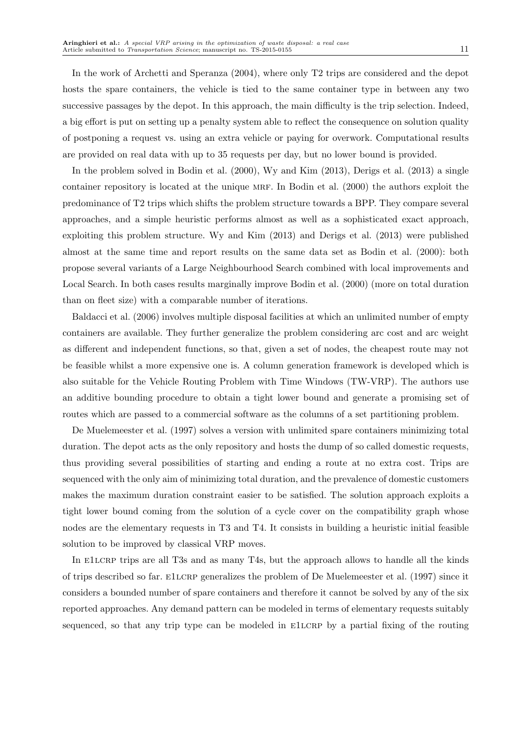In the work of Archetti and Speranza (2004), where only T2 trips are considered and the depot hosts the spare containers, the vehicle is tied to the same container type in between any two successive passages by the depot. In this approach, the main difficulty is the trip selection. Indeed, a big effort is put on setting up a penalty system able to reflect the consequence on solution quality of postponing a request vs. using an extra vehicle or paying for overwork. Computational results are provided on real data with up to 35 requests per day, but no lower bound is provided.

In the problem solved in Bodin et al. (2000), Wy and Kim (2013), Derigs et al. (2013) a single container repository is located at the unique mrf. In Bodin et al. (2000) the authors exploit the predominance of T2 trips which shifts the problem structure towards a BPP. They compare several approaches, and a simple heuristic performs almost as well as a sophisticated exact approach, exploiting this problem structure. Wy and Kim (2013) and Derigs et al. (2013) were published almost at the same time and report results on the same data set as Bodin et al. (2000): both propose several variants of a Large Neighbourhood Search combined with local improvements and Local Search. In both cases results marginally improve Bodin et al. (2000) (more on total duration than on fleet size) with a comparable number of iterations.

Baldacci et al. (2006) involves multiple disposal facilities at which an unlimited number of empty containers are available. They further generalize the problem considering arc cost and arc weight as different and independent functions, so that, given a set of nodes, the cheapest route may not be feasible whilst a more expensive one is. A column generation framework is developed which is also suitable for the Vehicle Routing Problem with Time Windows (TW-VRP). The authors use an additive bounding procedure to obtain a tight lower bound and generate a promising set of routes which are passed to a commercial software as the columns of a set partitioning problem.

De Muelemeester et al. (1997) solves a version with unlimited spare containers minimizing total duration. The depot acts as the only repository and hosts the dump of so called domestic requests, thus providing several possibilities of starting and ending a route at no extra cost. Trips are sequenced with the only aim of minimizing total duration, and the prevalence of domestic customers makes the maximum duration constraint easier to be satisfied. The solution approach exploits a tight lower bound coming from the solution of a cycle cover on the compatibility graph whose nodes are the elementary requests in T3 and T4. It consists in building a heuristic initial feasible solution to be improved by classical VRP moves.

In E1LCRP trips are all T3s and as many T4s, but the approach allows to handle all the kinds of trips described so far. E1LCRP generalizes the problem of De Muelemeester et al. (1997) since it considers a bounded number of spare containers and therefore it cannot be solved by any of the six reported approaches. Any demand pattern can be modeled in terms of elementary requests suitably sequenced, so that any trip type can be modeled in E1LCRP by a partial fixing of the routing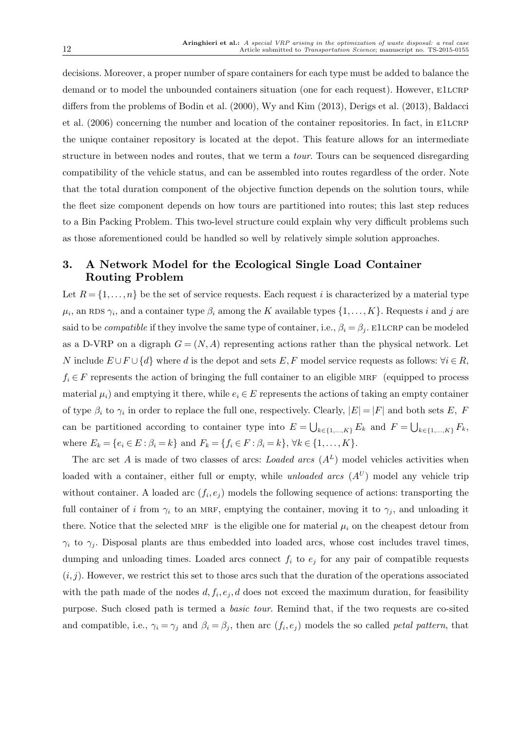decisions. Moreover, a proper number of spare containers for each type must be added to balance the demand or to model the unbounded containers situation (one for each request). However, ELLCRP differs from the problems of Bodin et al. (2000), Wy and Kim (2013), Derigs et al. (2013), Baldacci et al. (2006) concerning the number and location of the container repositories. In fact, in ELLCRP the unique container repository is located at the depot. This feature allows for an intermediate structure in between nodes and routes, that we term a tour. Tours can be sequenced disregarding compatibility of the vehicle status, and can be assembled into routes regardless of the order. Note that the total duration component of the objective function depends on the solution tours, while the fleet size component depends on how tours are partitioned into routes; this last step reduces to a Bin Packing Problem. This two-level structure could explain why very difficult problems such as those aforementioned could be handled so well by relatively simple solution approaches.

# 3. A Network Model for the Ecological Single Load Container Routing Problem

Let  $R = \{1, \ldots, n\}$  be the set of service requests. Each request i is characterized by a material type  $\mu_i$ , an RDS  $\gamma_i$ , and a container type  $\beta_i$  among the K available types  $\{1,\ldots,K\}$ . Requests i and j are said to be *compatible* if they involve the same type of container, i.e.,  $\beta_i = \beta_j$ . ElLCRP can be modeled as a D-VRP on a digraph  $G = (N, A)$  representing actions rather than the physical network. Let N include  $E \cup F \cup \{d\}$  where d is the depot and sets E, F model service requests as follows:  $\forall i \in R$ ,  $f_i \in F$  represents the action of bringing the full container to an eligible MRF (equipped to process material  $\mu_i$ ) and emptying it there, while  $e_i \in E$  represents the actions of taking an empty container of type  $\beta_i$  to  $\gamma_i$  in order to replace the full one, respectively. Clearly,  $|E| = |F|$  and both sets E, F can be partitioned according to container type into  $E = \bigcup_{k \in \{1,...,K\}} E_k$  and  $F = \bigcup_{k \in \{1,...,K\}} F_k$ , where  $E_k = \{e_i \in E : \beta_i = k\}$  and  $F_k = \{f_i \in F : \beta_i = k\}, \forall k \in \{1, ..., K\}.$ 

The arc set A is made of two classes of arcs: Loaded arcs  $(A<sup>L</sup>)$  model vehicles activities when loaded with a container, either full or empty, while *unloaded arcs*  $(A^U)$  model any vehicle trip without container. A loaded arc  $(f_i, e_j)$  models the following sequence of actions: transporting the full container of i from  $\gamma_i$  to an MRF, emptying the container, moving it to  $\gamma_i$ , and unloading it there. Notice that the selected MRF is the eligible one for material  $\mu_i$  on the cheapest detour from  $\gamma_i$  to  $\gamma_j$ . Disposal plants are thus embedded into loaded arcs, whose cost includes travel times, dumping and unloading times. Loaded arcs connect  $f_i$  to  $e_j$  for any pair of compatible requests  $(i, j)$ . However, we restrict this set to those arcs such that the duration of the operations associated with the path made of the nodes  $d, f_i, e_j, d$  does not exceed the maximum duration, for feasibility purpose. Such closed path is termed a basic tour. Remind that, if the two requests are co-sited and compatible, i.e.,  $\gamma_i = \gamma_j$  and  $\beta_i = \beta_j$ , then arc  $(f_i, e_j)$  models the so called *petal pattern*, that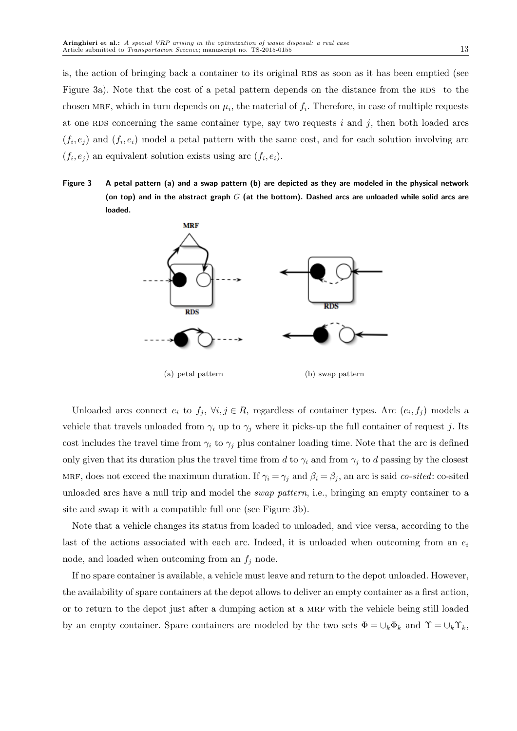is, the action of bringing back a container to its original RDS as soon as it has been emptied (see Figure 3a). Note that the cost of a petal pattern depends on the distance from the RDS to the chosen MRF, which in turn depends on  $\mu_i$ , the material of  $f_i$ . Therefore, in case of multiple requests at one RDS concerning the same container type, say two requests  $i$  and  $j$ , then both loaded arcs  $(f_i, e_j)$  and  $(f_i, e_i)$  model a petal pattern with the same cost, and for each solution involving arc  $(f_i, e_j)$  an equivalent solution exists using arc  $(f_i, e_i)$ .

Figure 3 A petal pattern (a) and a swap pattern (b) are depicted as they are modeled in the physical network (on top) and in the abstract graph  $G$  (at the bottom). Dashed arcs are unloaded while solid arcs are loaded.



Unloaded arcs connect  $e_i$  to  $f_j$ ,  $\forall i, j \in R$ , regardless of container types. Arc  $(e_i, f_j)$  models a vehicle that travels unloaded from  $\gamma_i$  up to  $\gamma_j$  where it picks-up the full container of request j. Its cost includes the travel time from  $\gamma_i$  to  $\gamma_j$  plus container loading time. Note that the arc is defined only given that its duration plus the travel time from d to  $\gamma_i$  and from  $\gamma_j$  to d passing by the closest MRF, does not exceed the maximum duration. If  $\gamma_i = \gamma_j$  and  $\beta_i = \beta_j$ , an arc is said co-sited: co-sited unloaded arcs have a null trip and model the swap pattern, i.e., bringing an empty container to a site and swap it with a compatible full one (see Figure 3b).

Note that a vehicle changes its status from loaded to unloaded, and vice versa, according to the last of the actions associated with each arc. Indeed, it is unloaded when outcoming from an  $e_i$ node, and loaded when outcoming from an  $f_i$  node.

If no spare container is available, a vehicle must leave and return to the depot unloaded. However, the availability of spare containers at the depot allows to deliver an empty container as a first action, or to return to the depot just after a dumping action at a mrf with the vehicle being still loaded by an empty container. Spare containers are modeled by the two sets  $\Phi = \cup_k \Phi_k$  and  $\Upsilon = \cup_k \Upsilon_k$ ,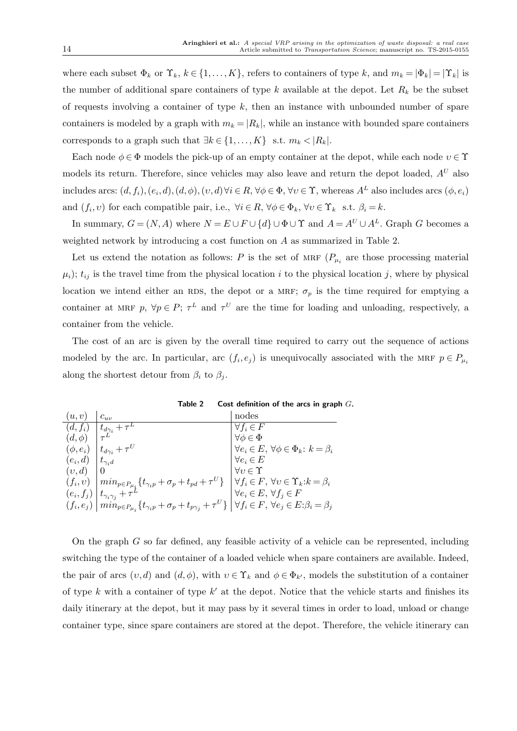where each subset  $\Phi_k$  or  $\Upsilon_k$ ,  $k \in \{1, ..., K\}$ , refers to containers of type k, and  $m_k = |\Phi_k| = |\Upsilon_k|$  is the number of additional spare containers of type k available at the depot. Let  $R_k$  be the subset of requests involving a container of type  $k$ , then an instance with unbounded number of spare containers is modeled by a graph with  $m_k = |R_k|$ , while an instance with bounded spare containers corresponds to a graph such that  $\exists k \in \{1, \ldots, K\}$  s.t.  $m_k < |R_k|$ .

Each node  $\phi \in \Phi$  models the pick-up of an empty container at the depot, while each node  $v \in \Upsilon$ models its return. Therefore, since vehicles may also leave and return the depot loaded,  $A<sup>U</sup>$  also includes arcs:  $(d, f_i), (e_i, d), (d, \phi), (v, d) \forall i \in R, \forall \phi \in \Phi, \forall v \in \Upsilon$ , whereas  $A^L$  also includes arcs  $(\phi, e_i)$ and  $(f_i, v)$  for each compatible pair, i.e.,  $\forall i \in R$ ,  $\forall \phi \in \Phi_k$ ,  $\forall v \in \Upsilon_k$  s.t.  $\beta_i = k$ .

In summary,  $G = (N, A)$  where  $N = E \cup F \cup \{d\} \cup \Phi \cup \Upsilon$  and  $A = A^U \cup A^L$ . Graph G becomes a weighted network by introducing a cost function on A as summarized in Table 2.

Let us extend the notation as follows: P is the set of MRF  $(P_{\mu_i})$  are those processing material  $\mu_i$ ;  $t_{ij}$  is the travel time from the physical location i to the physical location j, where by physical location we intend either an RDS, the depot or a MRF;  $\sigma_p$  is the time required for emptying a container at MRF p,  $\forall p \in P$ ;  $\tau^L$  and  $\tau^U$  are the time for loading and unloading, respectively, a container from the vehicle.

The cost of an arc is given by the overall time required to carry out the sequence of actions modeled by the arc. In particular, arc  $(f_i, e_j)$  is unequivocally associated with the MRF  $p \in P_{\mu_i}$ along the shortest detour from  $\beta_i$  to  $\beta_j$ .

| (u,v)         | $c_{uv}$                                                                                              | nodes                                                       |
|---------------|-------------------------------------------------------------------------------------------------------|-------------------------------------------------------------|
| $(d, f_i)$    | $t_{d\gamma_i}+\tau^L$                                                                                | $\forall f_i \in F$                                         |
| $(d,\phi)$    |                                                                                                       | $\forall \phi \in \Phi$                                     |
| $(\phi, e_i)$ | $t_{d\gamma_i} + \tau^U$                                                                              | $\forall e_i \in E, \forall \phi \in \Phi_k : k = \beta_i$  |
| $(e_i, d)$    | $t_{\gamma_i d}$                                                                                      | $\forall e_i \in E$                                         |
| (v,d)         |                                                                                                       | $\forall v \in \Upsilon$                                    |
| $(f_i, v)$    | $min_{p\in P_{\mu_i}}\{t_{\gamma_ip}+\sigma_p+t_{pd}+\tau^U\}$                                        | $\forall f_i \in F, \forall v \in \Upsilon_k : k = \beta_i$ |
| $(e_i,f_j)$   | $ t_{\gamma_i\gamma_j}+\tau^{\prime}$                                                                 | $\forall e_i \in E, \ \forall f_j \in F$                    |
| $(f_i,e_j)$   | $\left  \,min_{p \in P_{\mu_i}} \{ t_{\gamma_i p} + \sigma_p + t_{p \gamma_j} + \tau^U \} \, \right $ | $\forall f_i \in F, \forall e_j \in E: \beta_i = \beta_j$   |

Table 2 Cost definition of the arcs in graph  $G$ .

On the graph  $G$  so far defined, any feasible activity of a vehicle can be represented, including switching the type of the container of a loaded vehicle when spare containers are available. Indeed, the pair of arcs  $(v, d)$  and  $(d, \phi)$ , with  $v \in \Upsilon_k$  and  $\phi \in \Phi_{k'}$ , models the substitution of a container of type  $k$  with a container of type  $k'$  at the depot. Notice that the vehicle starts and finishes its daily itinerary at the depot, but it may pass by it several times in order to load, unload or change container type, since spare containers are stored at the depot. Therefore, the vehicle itinerary can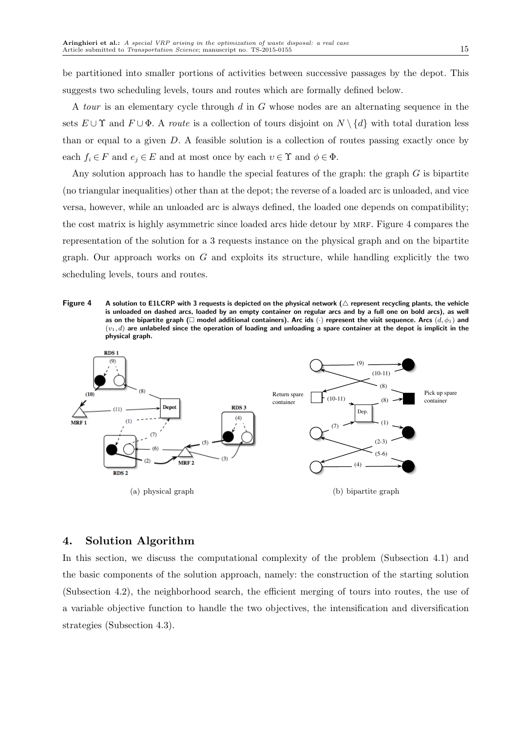be partitioned into smaller portions of activities between successive passages by the depot. This suggests two scheduling levels, tours and routes which are formally defined below.

A tour is an elementary cycle through d in G whose nodes are an alternating sequence in the sets  $E \cup \Upsilon$  and  $F \cup \Phi$ . A *route* is a collection of tours disjoint on  $N \setminus \{d\}$  with total duration less than or equal to a given  $D$ . A feasible solution is a collection of routes passing exactly once by each  $f_i \in F$  and  $e_i \in E$  and at most once by each  $v \in \Upsilon$  and  $\phi \in \Phi$ .

Any solution approach has to handle the special features of the graph: the graph  $G$  is bipartite (no triangular inequalities) other than at the depot; the reverse of a loaded arc is unloaded, and vice versa, however, while an unloaded arc is always defined, the loaded one depends on compatibility; the cost matrix is highly asymmetric since loaded arcs hide detour by MRF. Figure 4 compares the representation of the solution for a 3 requests instance on the physical graph and on the bipartite graph. Our approach works on  $G$  and exploits its structure, while handling explicitly the two scheduling levels, tours and routes.

Figure 4 A solution to E1LCRP with 3 requests is depicted on the physical network ( $\triangle$  represent recycling plants, the vehicle is unloaded on dashed arcs, loaded by an empty container on regular arcs and by a full one on bold arcs), as well as on the bipartite graph ( $\Box$  model additional containers). Arc ids ( $\cdot$ ) represent the visit sequence. Arcs  $(d, \phi_1)$  and  $(v_1, d)$  are unlabeled since the operation of loading and unloading a spare container at the depot is implicit in the physical graph.



# 4. Solution Algorithm

In this section, we discuss the computational complexity of the problem (Subsection 4.1) and the basic components of the solution approach, namely: the construction of the starting solution (Subsection 4.2), the neighborhood search, the efficient merging of tours into routes, the use of a variable objective function to handle the two objectives, the intensification and diversification strategies (Subsection 4.3).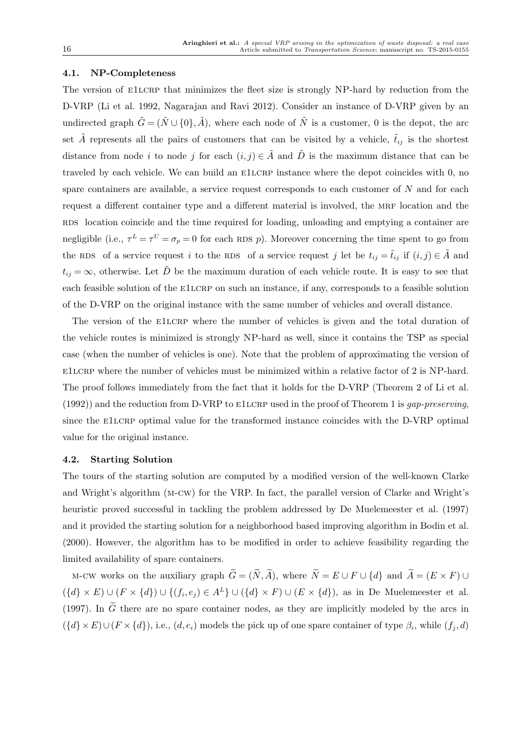#### 4.1. NP-Completeness

The version of E1LCRP that minimizes the fleet size is strongly NP-hard by reduction from the D-VRP (Li et al. 1992, Nagarajan and Ravi 2012). Consider an instance of D-VRP given by an undirected graph  $\tilde{G} = (\tilde{N} \cup \{0\}, \tilde{A})$ , where each node of  $\tilde{N}$  is a customer, 0 is the depot, the arc set  $\tilde{A}$  represents all the pairs of customers that can be visited by a vehicle,  $\tilde{t}_{ij}$  is the shortest distance from node i to node j for each  $(i, j) \in \tilde{A}$  and  $\tilde{D}$  is the maximum distance that can be traveled by each vehicle. We can build an e1lcrp instance where the depot coincides with 0, no spare containers are available, a service request corresponds to each customer of  $N$  and for each request a different container type and a different material is involved, the MRF location and the RDS location coincide and the time required for loading, unloading and emptying a container are negligible (i.e.,  $\tau^L = \tau^U = \sigma_p = 0$  for each RDS p). Moreover concerning the time spent to go from the RDS of a service request i to the RDS of a service request j let be  $t_{ij} = \tilde{t}_{ij}$  if  $(i, j) \in \tilde{A}$  and  $t_{ij} = \infty$ , otherwise. Let  $\tilde{D}$  be the maximum duration of each vehicle route. It is easy to see that each feasible solution of the E1LCRP on such an instance, if any, corresponds to a feasible solution of the D-VRP on the original instance with the same number of vehicles and overall distance.

The version of the E1LCRP where the number of vehicles is given and the total duration of the vehicle routes is minimized is strongly NP-hard as well, since it contains the TSP as special case (when the number of vehicles is one). Note that the problem of approximating the version of e1lcrp where the number of vehicles must be minimized within a relative factor of 2 is NP-hard. The proof follows immediately from the fact that it holds for the D-VRP (Theorem 2 of Li et al.  $(1992)$ ) and the reduction from D-VRP to E1LCRP used in the proof of Theorem 1 is gap-preserving. since the E1LCRP optimal value for the transformed instance coincides with the D-VRP optimal value for the original instance.

#### 4.2. Starting Solution

The tours of the starting solution are computed by a modified version of the well-known Clarke and Wright's algorithm (m-cw) for the VRP. In fact, the parallel version of Clarke and Wright's heuristic proved successful in tackling the problem addressed by De Muelemeester et al. (1997) and it provided the starting solution for a neighborhood based improving algorithm in Bodin et al. (2000). However, the algorithm has to be modified in order to achieve feasibility regarding the limited availability of spare containers.

M-CW works on the auxiliary graph  $\widetilde{G} = (\widetilde{N}, \widetilde{A})$ , where  $\widetilde{N} = E \cup F \cup \{d\}$  and  $\widetilde{A} = (E \times F) \cup$  $({d} \times E) \cup (F \times {d}) \cup ({f_i, e_j}) \in A^L$   $\cup$   $({d} \times F) \cup (E \times {d})$ , as in De Muelemeester et al. (1997). In  $\tilde{G}$  there are no spare container nodes, as they are implicitly modeled by the arcs in  $({d} \times E) \cup (F \times {d}),$  i.e.,  $(d, e_i)$  models the pick up of one spare container of type  $\beta_i$ , while  $(f_j, d)$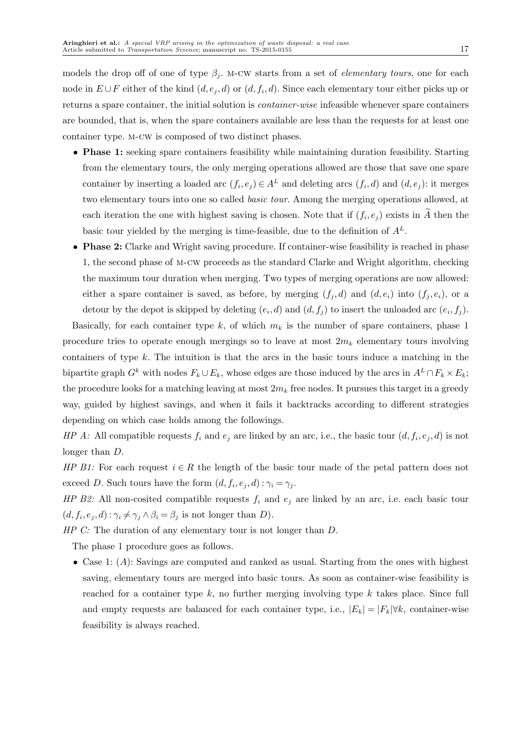models the drop off of one of type  $\beta_i$ . M-CW starts from a set of *elementary tours*, one for each node in  $E \cup F$  either of the kind  $(d, e_j, d)$  or  $(d, f_i, d)$ . Since each elementary tour either picks up or returns a spare container, the initial solution is container-wise infeasible whenever spare containers are bounded, that is, when the spare containers available are less than the requests for at least one container type. m-cw is composed of two distinct phases.

- Phase 1: seeking spare containers feasibility while maintaining duration feasibility. Starting from the elementary tours, the only merging operations allowed are those that save one spare container by inserting a loaded arc  $(f_i, e_j) \in A^L$  and deleting arcs  $(f_i, d)$  and  $(d, e_j)$ : it merges two elementary tours into one so called *basic tour*. Among the merging operations allowed, at each iteration the one with highest saving is chosen. Note that if  $(f_i, e_j)$  exists in A then the basic tour yielded by the merging is time-feasible, due to the definition of  $A<sup>L</sup>$ .
- Phase 2: Clarke and Wright saving procedure. If container-wise feasibility is reached in phase 1, the second phase of m-cw proceeds as the standard Clarke and Wright algorithm, checking the maximum tour duration when merging. Two types of merging operations are now allowed: either a spare container is saved, as before, by merging  $(f_j, d)$  and  $(d, e_i)$  into  $(f_j, e_i)$ , or a detour by the depot is skipped by deleting  $(e_i, d)$  and  $(d, f_j)$  to insert the unloaded arc  $(e_i, f_j)$ .

Basically, for each container type k, of which  $m_k$  is the number of spare containers, phase 1 procedure tries to operate enough mergings so to leave at most  $2m_k$  elementary tours involving containers of type  $k$ . The intuition is that the arcs in the basic tours induce a matching in the bipartite graph  $G^k$  with nodes  $F_k \cup E_k$ , whose edges are those induced by the arcs in  $A^L \cap F_k \times E_k$ ; the procedure looks for a matching leaving at most  $2m_k$  free nodes. It pursues this target in a greedy way, guided by highest savings, and when it fails it backtracks according to different strategies depending on which case holds among the followings.

*HP A:* All compatible requests  $f_i$  and  $e_j$  are linked by an arc, i.e., the basic tour  $(d, f_i, e_j, d)$  is not longer than D.

HP B1: For each request  $i \in R$  the length of the basic tour made of the petal pattern does not exceed D. Such tours have the form  $(d, f_i, e_j, d)$ :  $\gamma_i = \gamma_j$ .

HP B2: All non-cosited compatible requests  $f_i$  and  $e_j$  are linked by an arc, i.e. each basic tour  $(d, f_i, e_j, d)$ :  $\gamma_i \neq \gamma_j \wedge \beta_i = \beta_j$  is not longer than D).

HP C: The duration of any elementary tour is not longer than  $D$ .

The phase 1 procedure goes as follows.

• Case 1:  $(A)$ : Savings are computed and ranked as usual. Starting from the ones with highest saving, elementary tours are merged into basic tours. As soon as container-wise feasibility is reached for a container type  $k$ , no further merging involving type  $k$  takes place. Since full and empty requests are balanced for each container type, i.e.,  $|E_k| = |F_k| \forall k$ , container-wise feasibility is always reached.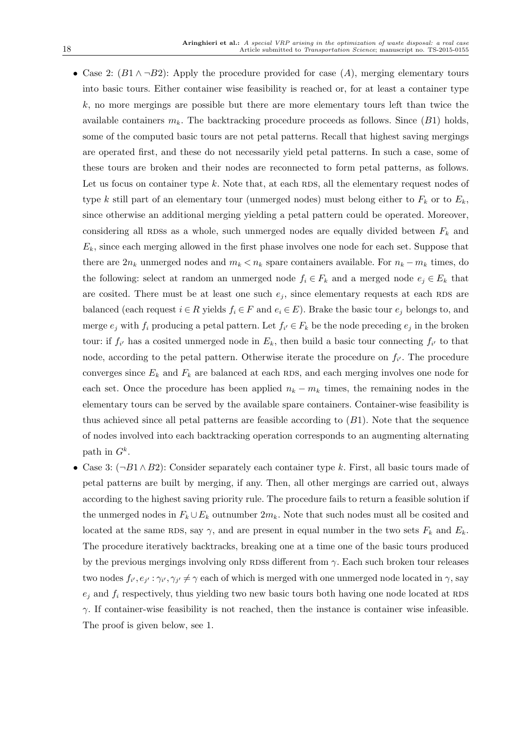- Case 2:  $(B1 \wedge \neg B2)$ : Apply the procedure provided for case  $(A)$ , merging elementary tours into basic tours. Either container wise feasibility is reached or, for at least a container type  $k$ , no more mergings are possible but there are more elementary tours left than twice the available containers  $m_k$ . The backtracking procedure proceeds as follows. Since  $(B1)$  holds, some of the computed basic tours are not petal patterns. Recall that highest saving mergings are operated first, and these do not necessarily yield petal patterns. In such a case, some of these tours are broken and their nodes are reconnected to form petal patterns, as follows. Let us focus on container type  $k$ . Note that, at each RDS, all the elementary request nodes of type k still part of an elementary tour (unmerged nodes) must belong either to  $F_k$  or to  $E_k$ , since otherwise an additional merging yielding a petal pattern could be operated. Moreover, considering all RDSs as a whole, such unmerged nodes are equally divided between  $F_k$  and  $E<sub>k</sub>$ , since each merging allowed in the first phase involves one node for each set. Suppose that there are  $2n_k$  unmerged nodes and  $m_k < n_k$  spare containers available. For  $n_k - m_k$  times, do the following: select at random an unmerged node  $f_i \in F_k$  and a merged node  $e_j \in E_k$  that are cosited. There must be at least one such  $e_j$ , since elementary requests at each RDS are balanced (each request  $i \in R$  yields  $f_i \in F$  and  $e_i \in E$ ). Brake the basic tour  $e_i$  belongs to, and merge  $e_j$  with  $f_i$  producing a petal pattern. Let  $f_{i'} \in F_k$  be the node preceding  $e_j$  in the broken tour: if  $f_{i'}$  has a cosited unmerged node in  $E_k$ , then build a basic tour connecting  $f_{i'}$  to that node, according to the petal pattern. Otherwise iterate the procedure on  $f_{i'}$ . The procedure converges since  $E_k$  and  $F_k$  are balanced at each RDS, and each merging involves one node for each set. Once the procedure has been applied  $n_k - m_k$  times, the remaining nodes in the elementary tours can be served by the available spare containers. Container-wise feasibility is thus achieved since all petal patterns are feasible according to  $(B1)$ . Note that the sequence of nodes involved into each backtracking operation corresponds to an augmenting alternating path in  $G^k$ .
- Case 3:  $(\neg B1 \land B2)$ : Consider separately each container type k. First, all basic tours made of petal patterns are built by merging, if any. Then, all other mergings are carried out, always according to the highest saving priority rule. The procedure fails to return a feasible solution if the unmerged nodes in  $F_k \cup E_k$  outnumber  $2m_k$ . Note that such nodes must all be cosited and located at the same RDS, say  $\gamma$ , and are present in equal number in the two sets  $F_k$  and  $E_k$ . The procedure iteratively backtracks, breaking one at a time one of the basic tours produced by the previous mergings involving only RDSs different from  $\gamma$ . Each such broken tour releases two nodes  $f_{i'}, e_{j'} : \gamma_{i'}, \gamma_{j'} \neq \gamma$  each of which is merged with one unmerged node located in  $\gamma$ , say  $e_i$  and  $f_i$  respectively, thus yielding two new basic tours both having one node located at RDS  $\gamma$ . If container-wise feasibility is not reached, then the instance is container wise infeasible. The proof is given below, see 1.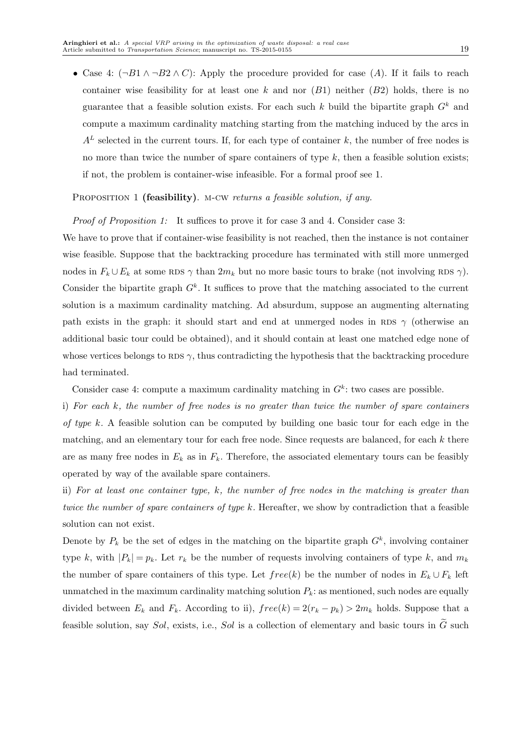• Case 4:  $(\neg B1 \land \neg B2 \land C)$ : Apply the procedure provided for case (A). If it fails to reach container wise feasibility for at least one k and nor  $(B1)$  neither  $(B2)$  holds, there is no guarantee that a feasible solution exists. For each such k build the bipartite graph  $G<sup>k</sup>$  and compute a maximum cardinality matching starting from the matching induced by the arcs in  $A<sup>L</sup>$  selected in the current tours. If, for each type of container k, the number of free nodes is no more than twice the number of spare containers of type  $k$ , then a feasible solution exists; if not, the problem is container-wise infeasible. For a formal proof see 1.

PROPOSITION 1 (feasibility). M-CW returns a feasible solution, if any.

Proof of Proposition 1: It suffices to prove it for case 3 and 4. Consider case 3:

We have to prove that if container-wise feasibility is not reached, then the instance is not container wise feasible. Suppose that the backtracking procedure has terminated with still more unmerged nodes in  $F_k \cup E_k$  at some RDS  $\gamma$  than  $2m_k$  but no more basic tours to brake (not involving RDS  $\gamma$ ). Consider the bipartite graph  $G<sup>k</sup>$ . It suffices to prove that the matching associated to the current solution is a maximum cardinality matching. Ad absurdum, suppose an augmenting alternating path exists in the graph: it should start and end at unmerged nodes in RDS  $\gamma$  (otherwise an additional basic tour could be obtained), and it should contain at least one matched edge none of whose vertices belongs to RDS  $\gamma$ , thus contradicting the hypothesis that the backtracking procedure had terminated.

Consider case 4: compute a maximum cardinality matching in  $G<sup>k</sup>$ : two cases are possible.

i) For each k, the number of free nodes is no greater than twice the number of spare containers of type k. A feasible solution can be computed by building one basic tour for each edge in the matching, and an elementary tour for each free node. Since requests are balanced, for each  $k$  there are as many free nodes in  $E_k$  as in  $F_k$ . Therefore, the associated elementary tours can be feasibly operated by way of the available spare containers.

ii) For at least one container type, k, the number of free nodes in the matching is greater than twice the number of spare containers of type k. Hereafter, we show by contradiction that a feasible solution can not exist.

Denote by  $P_k$  be the set of edges in the matching on the bipartite graph  $G^k$ , involving container type k, with  $|P_k| = p_k$ . Let  $r_k$  be the number of requests involving containers of type k, and  $m_k$ the number of spare containers of this type. Let  $free(k)$  be the number of nodes in  $E_k \cup F_k$  left unmatched in the maximum cardinality matching solution  $P_k$ : as mentioned, such nodes are equally divided between  $E_k$  and  $F_k$ . According to ii),  $free(k) = 2(r_k - p_k) > 2m_k$  holds. Suppose that a feasible solution, say Sol, exists, i.e., Sol is a collection of elementary and basic tours in  $\tilde{G}$  such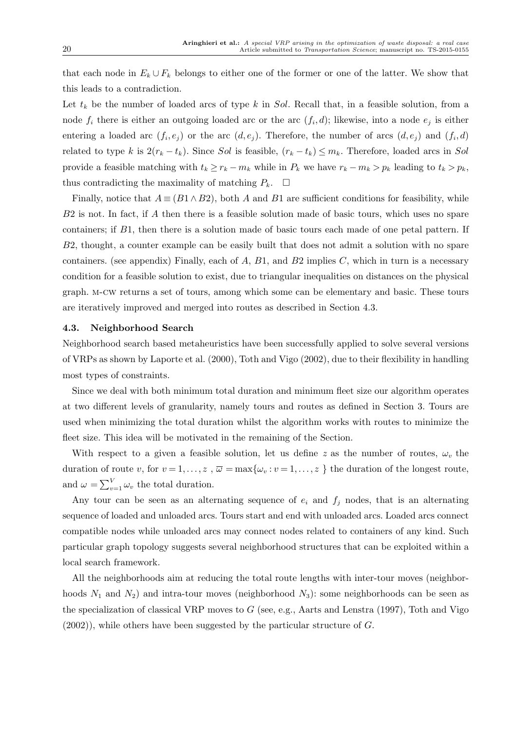that each node in  $E_k \cup F_k$  belongs to either one of the former or one of the latter. We show that this leads to a contradiction.

Let  $t_k$  be the number of loaded arcs of type k in Sol. Recall that, in a feasible solution, from a node  $f_i$  there is either an outgoing loaded arc or the arc  $(f_i, d)$ ; likewise, into a node  $e_j$  is either entering a loaded arc  $(f_i, e_j)$  or the arc  $(d, e_j)$ . Therefore, the number of arcs  $(d, e_j)$  and  $(f_i, d)$ related to type k is  $2(r_k - t_k)$ . Since Sol is feasible,  $(r_k - t_k) \le m_k$ . Therefore, loaded arcs in Sol provide a feasible matching with  $t_k \ge r_k - m_k$  while in  $P_k$  we have  $r_k - m_k > p_k$  leading to  $t_k > p_k$ , thus contradicting the maximality of matching  $P_k$ .  $\Box$ 

Finally, notice that  $A \equiv (B1 \wedge B2)$ , both A and B1 are sufficient conditions for feasibility, while  $B2$  is not. In fact, if A then there is a feasible solution made of basic tours, which uses no spare containers; if B1, then there is a solution made of basic tours each made of one petal pattern. If B2, thought, a counter example can be easily built that does not admit a solution with no spare containers. (see appendix) Finally, each of  $A$ ,  $B1$ , and  $B2$  implies  $C$ , which in turn is a necessary condition for a feasible solution to exist, due to triangular inequalities on distances on the physical graph. m-cw returns a set of tours, among which some can be elementary and basic. These tours are iteratively improved and merged into routes as described in Section 4.3.

#### 4.3. Neighborhood Search

Neighborhood search based metaheuristics have been successfully applied to solve several versions of VRPs as shown by Laporte et al. (2000), Toth and Vigo (2002), due to their flexibility in handling most types of constraints.

Since we deal with both minimum total duration and minimum fleet size our algorithm operates at two different levels of granularity, namely tours and routes as defined in Section 3. Tours are used when minimizing the total duration whilst the algorithm works with routes to minimize the fleet size. This idea will be motivated in the remaining of the Section.

With respect to a given a feasible solution, let us define z as the number of routes,  $\omega_v$  the duration of route v, for  $v = 1, \ldots, z$ ,  $\overline{\omega} = \max\{\omega_v : v = 1, \ldots, z\}$  the duration of the longest route, and  $\omega = \sum_{v=1}^{V} \omega_v$  the total duration.

Any tour can be seen as an alternating sequence of  $e_i$  and  $f_j$  nodes, that is an alternating sequence of loaded and unloaded arcs. Tours start and end with unloaded arcs. Loaded arcs connect compatible nodes while unloaded arcs may connect nodes related to containers of any kind. Such particular graph topology suggests several neighborhood structures that can be exploited within a local search framework.

All the neighborhoods aim at reducing the total route lengths with inter-tour moves (neighborhoods  $N_1$  and  $N_2$ ) and intra-tour moves (neighborhood  $N_3$ ): some neighborhoods can be seen as the specialization of classical VRP moves to G (see, e.g., Aarts and Lenstra (1997), Toth and Vigo  $(2002)$ , while others have been suggested by the particular structure of G.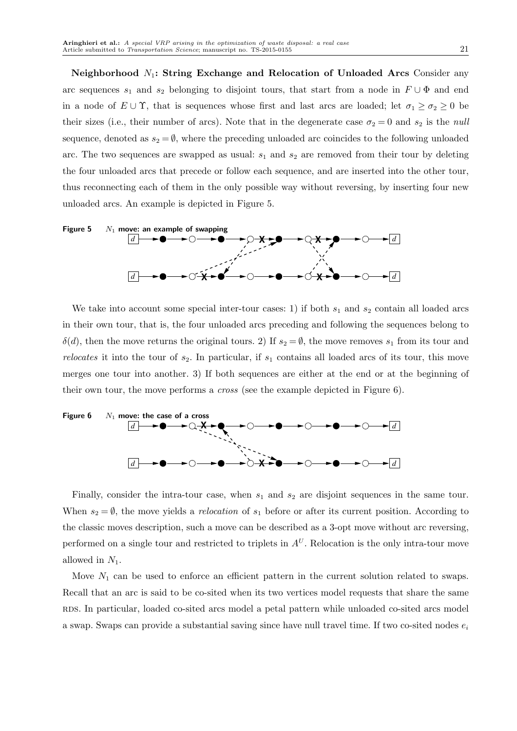Neighborhood  $N_1$ : String Exchange and Relocation of Unloaded Arcs Consider any arc sequences  $s_1$  and  $s_2$  belonging to disjoint tours, that start from a node in  $F \cup \Phi$  and end in a node of  $E \cup \Upsilon$ , that is sequences whose first and last arcs are loaded; let  $\sigma_1 \ge \sigma_2 \ge 0$  be their sizes (i.e., their number of arcs). Note that in the degenerate case  $\sigma_2 = 0$  and  $s_2$  is the *null* sequence, denoted as  $s_2 = \emptyset$ , where the preceding unloaded arc coincides to the following unloaded arc. The two sequences are swapped as usual:  $s_1$  and  $s_2$  are removed from their tour by deleting the four unloaded arcs that precede or follow each sequence, and are inserted into the other tour, thus reconnecting each of them in the only possible way without reversing, by inserting four new unloaded arcs. An example is depicted in Figure 5.



We take into account some special inter-tour cases: 1) if both  $s_1$  and  $s_2$  contain all loaded arcs in their own tour, that is, the four unloaded arcs preceding and following the sequences belong to  $\delta(d)$ , then the move returns the original tours. 2) If  $s_2 = \emptyset$ , the move removes  $s_1$  from its tour and relocates it into the tour of  $s_2$ . In particular, if  $s_1$  contains all loaded arcs of its tour, this move merges one tour into another. 3) If both sequences are either at the end or at the beginning of their own tour, the move performs a cross (see the example depicted in Figure 6).



Finally, consider the intra-tour case, when  $s_1$  and  $s_2$  are disjoint sequences in the same tour. When  $s_2 = \emptyset$ , the move yields a *relocation* of  $s_1$  before or after its current position. According to the classic moves description, such a move can be described as a 3-opt move without arc reversing, performed on a single tour and restricted to triplets in  $A<sup>U</sup>$ . Relocation is the only intra-tour move allowed in  $N_1$ .

Move  $N_1$  can be used to enforce an efficient pattern in the current solution related to swaps. Recall that an arc is said to be co-sited when its two vertices model requests that share the same RDS. In particular, loaded co-sited arcs model a petal pattern while unloaded co-sited arcs model a swap. Swaps can provide a substantial saving since have null travel time. If two co-sited nodes  $e_i$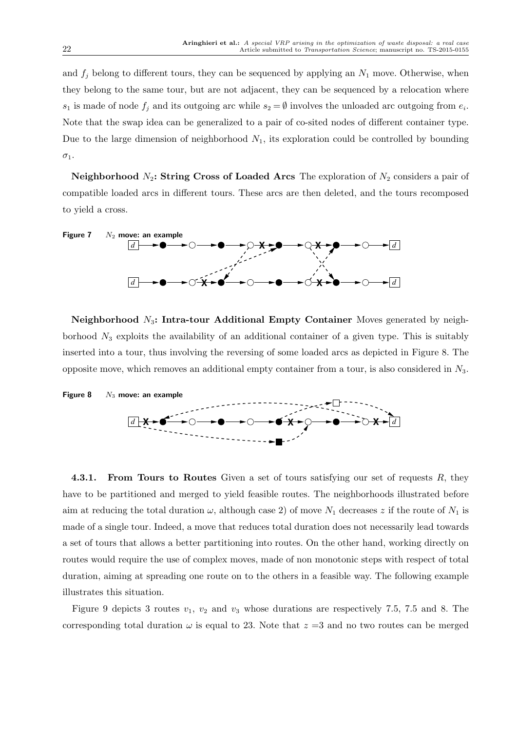and  $f_i$  belong to different tours, they can be sequenced by applying an  $N_1$  move. Otherwise, when they belong to the same tour, but are not adjacent, they can be sequenced by a relocation where  $s_1$  is made of node  $f_j$  and its outgoing arc while  $s_2 = \emptyset$  involves the unloaded arc outgoing from  $e_i$ . Note that the swap idea can be generalized to a pair of co-sited nodes of different container type. Due to the large dimension of neighborhood  $N_1$ , its exploration could be controlled by bounding  $\sigma_1$ .

Neighborhood  $N_2$ : String Cross of Loaded Arcs The exploration of  $N_2$  considers a pair of compatible loaded arcs in different tours. These arcs are then deleted, and the tours recomposed to yield a cross.



Neighborhood  $N_3$ : Intra-tour Additional Empty Container Moves generated by neighborhood  $N_3$  exploits the availability of an additional container of a given type. This is suitably inserted into a tour, thus involving the reversing of some loaded arcs as depicted in Figure 8. The opposite move, which removes an additional empty container from a tour, is also considered in  $N_3$ .



4.3.1. From Tours to Routes Given a set of tours satisfying our set of requests R, they have to be partitioned and merged to yield feasible routes. The neighborhoods illustrated before aim at reducing the total duration  $\omega$ , although case 2) of move  $N_1$  decreases z if the route of  $N_1$  is made of a single tour. Indeed, a move that reduces total duration does not necessarily lead towards a set of tours that allows a better partitioning into routes. On the other hand, working directly on routes would require the use of complex moves, made of non monotonic steps with respect of total duration, aiming at spreading one route on to the others in a feasible way. The following example illustrates this situation.

Figure 9 depicts 3 routes  $v_1$ ,  $v_2$  and  $v_3$  whose durations are respectively 7.5, 7.5 and 8. The corresponding total duration  $\omega$  is equal to 23. Note that  $z = 3$  and no two routes can be merged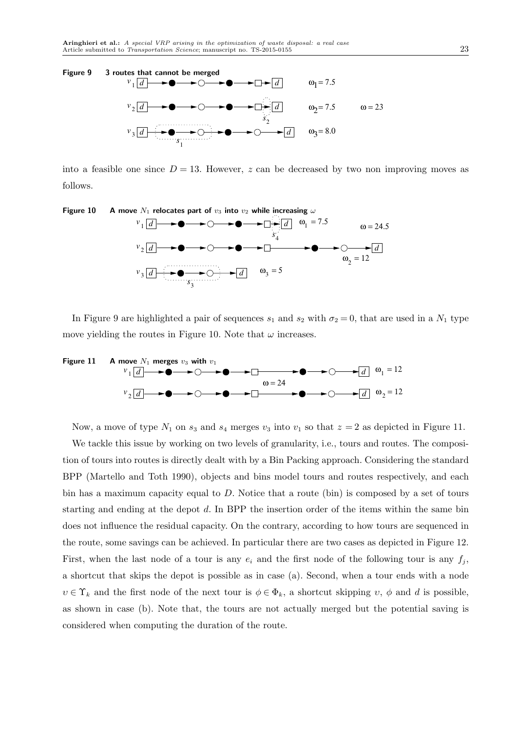

into a feasible one since  $D = 13$ . However, z can be decreased by two non improving moves as follows.



In Figure 9 are highlighted a pair of sequences  $s_1$  and  $s_2$  with  $\sigma_2 = 0$ , that are used in a  $N_1$  type move yielding the routes in Figure 10. Note that  $\omega$  increases.



Now, a move of type  $N_1$  on  $s_3$  and  $s_4$  merges  $v_3$  into  $v_1$  so that  $z = 2$  as depicted in Figure 11.

We tackle this issue by working on two levels of granularity, i.e., tours and routes. The composition of tours into routes is directly dealt with by a Bin Packing approach. Considering the standard BPP (Martello and Toth 1990), objects and bins model tours and routes respectively, and each bin has a maximum capacity equal to  $D$ . Notice that a route (bin) is composed by a set of tours starting and ending at the depot d. In BPP the insertion order of the items within the same bin does not influence the residual capacity. On the contrary, according to how tours are sequenced in the route, some savings can be achieved. In particular there are two cases as depicted in Figure 12. First, when the last node of a tour is any  $e_i$  and the first node of the following tour is any  $f_j$ , a shortcut that skips the depot is possible as in case (a). Second, when a tour ends with a node  $v \in \Upsilon_k$  and the first node of the next tour is  $\phi \in \Phi_k$ , a shortcut skipping  $v, \phi$  and d is possible, as shown in case (b). Note that, the tours are not actually merged but the potential saving is considered when computing the duration of the route.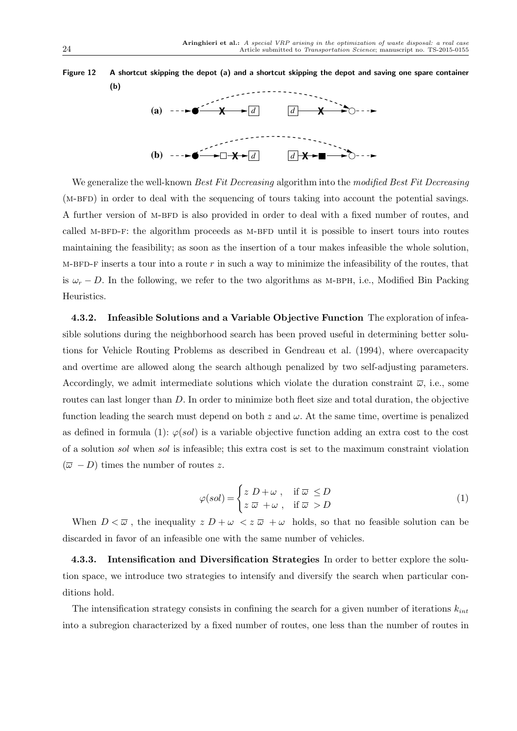

We generalize the well-known *Best Fit Decreasing* algorithm into the modified Best Fit Decreasing (M-BFD) in order to deal with the sequencing of tours taking into account the potential savings. A further version of M-BFD is also provided in order to deal with a fixed number of routes, and called M-BFD-F: the algorithm proceeds as M-BFD until it is possible to insert tours into routes maintaining the feasibility; as soon as the insertion of a tour makes infeasible the whole solution, M-BFD-F inserts a tour into a route  $r$  in such a way to minimize the infeasibility of the routes, that is  $\omega_r - D$ . In the following, we refer to the two algorithms as M-BPH, i.e., Modified Bin Packing Heuristics.

4.3.2. Infeasible Solutions and a Variable Objective Function The exploration of infeasible solutions during the neighborhood search has been proved useful in determining better solutions for Vehicle Routing Problems as described in Gendreau et al. (1994), where overcapacity and overtime are allowed along the search although penalized by two self-adjusting parameters. Accordingly, we admit intermediate solutions which violate the duration constraint  $\bar{\omega}$ , i.e., some routes can last longer than D. In order to minimize both fleet size and total duration, the objective function leading the search must depend on both z and  $\omega$ . At the same time, overtime is penalized as defined in formula (1):  $\varphi(sol)$  is a variable objective function adding an extra cost to the cost of a solution sol when sol is infeasible; this extra cost is set to the maximum constraint violation  $(\overline{\omega} - D)$  times the number of routes z.

$$
\varphi(sol) = \begin{cases} z \ D + \omega \ , & \text{if } \overline{\omega} \le D \\ z \ \overline{\omega} + \omega \ , & \text{if } \overline{\omega} > D \end{cases}
$$
 (1)

When  $D < \overline{\omega}$ , the inequality  $z D + \omega < z \overline{\omega} + \omega$  holds, so that no feasible solution can be discarded in favor of an infeasible one with the same number of vehicles.

Intensification and Diversification Strategies In order to better explore the solution space, we introduce two strategies to intensify and diversify the search when particular conditions hold.

The intensification strategy consists in confining the search for a given number of iterations  $k_{int}$ into a subregion characterized by a fixed number of routes, one less than the number of routes in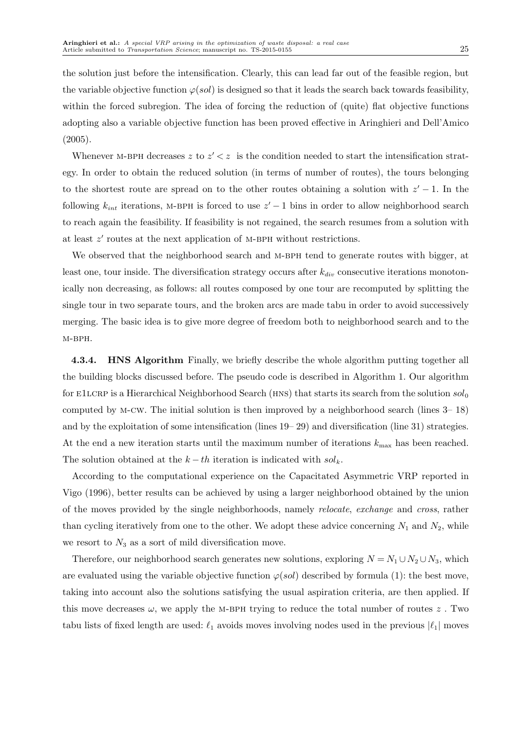the solution just before the intensification. Clearly, this can lead far out of the feasible region, but the variable objective function  $\varphi(sol)$  is designed so that it leads the search back towards feasibility, within the forced subregion. The idea of forcing the reduction of (quite) flat objective functions adopting also a variable objective function has been proved effective in Aringhieri and Dell'Amico (2005).

Whenever M-BPH decreases z to  $z' < z$  is the condition needed to start the intensification strategy. In order to obtain the reduced solution (in terms of number of routes), the tours belonging to the shortest route are spread on to the other routes obtaining a solution with  $z' - 1$ . In the following  $k_{int}$  iterations, M-BPH is forced to use  $z' - 1$  bins in order to allow neighborhood search to reach again the feasibility. If feasibility is not regained, the search resumes from a solution with at least  $z'$  routes at the next application of M-BPH without restrictions.

We observed that the neighborhood search and M-BPH tend to generate routes with bigger, at least one, tour inside. The diversification strategy occurs after  $k_{div}$  consecutive iterations monotonically non decreasing, as follows: all routes composed by one tour are recomputed by splitting the single tour in two separate tours, and the broken arcs are made tabu in order to avoid successively merging. The basic idea is to give more degree of freedom both to neighborhood search and to the M-BPH.

4.3.4. HNS Algorithm Finally, we briefly describe the whole algorithm putting together all the building blocks discussed before. The pseudo code is described in Algorithm 1. Our algorithm for E1LCRP is a Hierarchical Neighborhood Search (HNS) that starts its search from the solution  $sol_0$ computed by m-cw. The initial solution is then improved by a neighborhood search (lines 3– 18) and by the exploitation of some intensification (lines 19– 29) and diversification (line 31) strategies. At the end a new iteration starts until the maximum number of iterations  $k_{\text{max}}$  has been reached. The solution obtained at the  $k - th$  iteration is indicated with  $sol_k$ .

According to the computational experience on the Capacitated Asymmetric VRP reported in Vigo (1996), better results can be achieved by using a larger neighborhood obtained by the union of the moves provided by the single neighborhoods, namely relocate, exchange and cross, rather than cycling iteratively from one to the other. We adopt these advice concerning  $N_1$  and  $N_2$ , while we resort to  $N_3$  as a sort of mild diversification move.

Therefore, our neighborhood search generates new solutions, exploring  $N = N_1 \cup N_2 \cup N_3$ , which are evaluated using the variable objective function  $\varphi(sol)$  described by formula (1): the best move, taking into account also the solutions satisfying the usual aspiration criteria, are then applied. If this move decreases  $\omega$ , we apply the M-BPH trying to reduce the total number of routes z. Two tabu lists of fixed length are used:  $\ell_1$  avoids moves involving nodes used in the previous  $|\ell_1|$  moves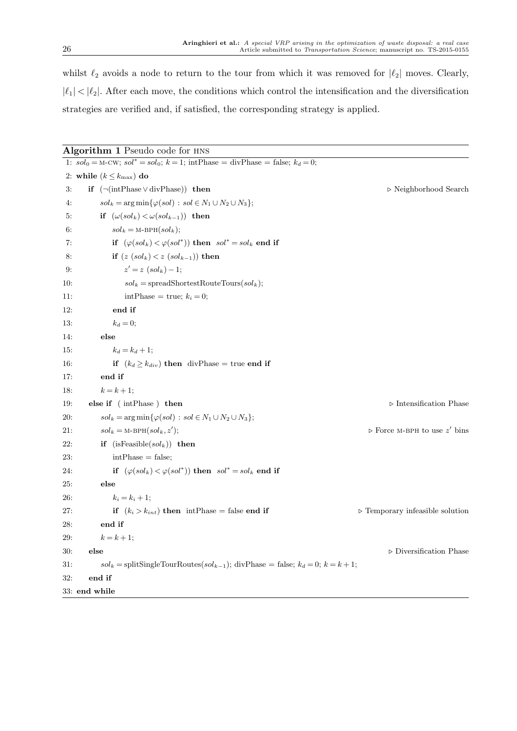whilst  $\ell_2$  avoids a node to return to the tour from which it was removed for  $|\ell_2|$  moves. Clearly,  $|\ell_1| < |\ell_2|$ . After each move, the conditions which control the intensification and the diversification strategies are verified and, if satisfied, the corresponding strategy is applied.

Algorithm 1 Pseudo code for hns 1:  $sol_0 = M-CW$ ;  $sol^* = sol_0$ ;  $k = 1$ ; intPhase = divPhase = false;  $k_d = 0$ ; 2: while  $(k \leq k_{\text{max}})$  do 3: if (¬(intPhase ∨ divPhase)) then . Neighborhood Search 4:  $sol_k = \arg \min \{ \varphi(sol) : sol \in N_1 \cup N_2 \cup N_3 \};$ 5: if  $(\omega(sol_k) < \omega(sol_{k-1}))$  then 6:  $sol_k = M-BPH(sol_k);$ 7: if  $(\varphi(sol_k) < \varphi(sol^*))$  then  $sol^* = sol_k$  end if 8: if  $(z (sol_k) < z (sol_{k-1})$  then 9: z  $z' = z (sol_k) - 1;$ 10:  $sol_k = \text{spreadShortestRoot}(\text{solveTours})$ ; 11:  $intPhase = true; k<sub>i</sub> = 0;$ 12: end if 13:  $k_d = 0;$ 14: else 15:  $k_d = k_d + 1;$ 16: **if**  $(k_d \ge k_{div})$  then divPhase = true end if 17: end if 18:  $k = k + 1;$ 19: **else if** ( intPhase ) then  $\triangleright$  Intensification Phase 20:  $sol_k = \arg \min{\{\varphi(sol) : sol \in N_1 \cup N_2 \cup N_3\}};$ 21:  $\qquad sol_k = M-BPH(sol_k, z');$ );  $\triangleright$  Force M-BPH to use z' bins 22: if  $(i sFeasible(sol_k))$  then 23:  $intPhase = false;$ 24: if  $(\varphi(sol_k) < \varphi(sol^*))$  then  $sol^* = sol_k$  end if 25: else 26:  $k_i = k_i + 1;$ 27: if  $(k_i > k_{int})$  then intPhase = false end if  $\triangleright$  Temporary infeasible solution 28: end if 29:  $k = k + 1;$ 30: else . Diversification Phase . Diversification Phase . Diversification Phase . Diversification Phase . Diversification Phase .  $\triangleright$  Diversification Phase .  $\triangleright$  Phase .  $\triangleright$  Phase .  $\triangleright$  Phase .  $\triangleright$  Phase . 31:  $\text{sol}_k = \text{splitSingleTourRoot}(sol_{k-1}); \text{divPhase} = \text{false}; k_d = 0; k = k+1;$ 32: end if 33: end while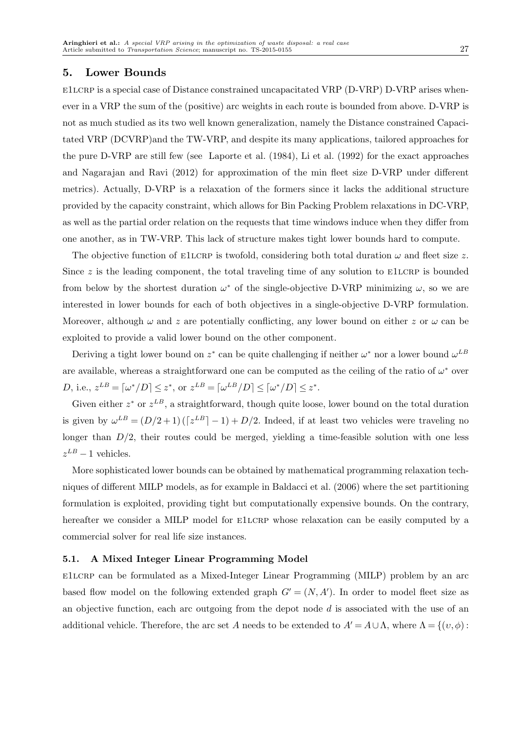## 5. Lower Bounds

e1lcrp is a special case of Distance constrained uncapacitated VRP (D-VRP) D-VRP arises whenever in a VRP the sum of the (positive) arc weights in each route is bounded from above. D-VRP is not as much studied as its two well known generalization, namely the Distance constrained Capacitated VRP (DCVRP)and the TW-VRP, and despite its many applications, tailored approaches for the pure D-VRP are still few (see Laporte et al. (1984), Li et al. (1992) for the exact approaches and Nagarajan and Ravi (2012) for approximation of the min fleet size D-VRP under different metrics). Actually, D-VRP is a relaxation of the formers since it lacks the additional structure provided by the capacity constraint, which allows for Bin Packing Problem relaxations in DC-VRP, as well as the partial order relation on the requests that time windows induce when they differ from one another, as in TW-VRP. This lack of structure makes tight lower bounds hard to compute.

The objective function of E1LCRP is twofold, considering both total duration  $\omega$  and fleet size z. Since  $z$  is the leading component, the total traveling time of any solution to E1LCRP is bounded from below by the shortest duration  $\omega^*$  of the single-objective D-VRP minimizing  $\omega$ , so we are interested in lower bounds for each of both objectives in a single-objective D-VRP formulation. Moreover, although  $\omega$  and z are potentially conflicting, any lower bound on either z or  $\omega$  can be exploited to provide a valid lower bound on the other component.

Deriving a tight lower bound on  $z^*$  can be quite challenging if neither  $\omega^*$  nor a lower bound  $\omega^{LB}$ are available, whereas a straightforward one can be computed as the ceiling of the ratio of  $\omega^*$  over D, i.e.,  $z^{LB} = [\omega^*/D] \leq z^*$ , or  $z^{LB} = [\omega^{LB}/D] \leq [\omega^*/D] \leq z^*$ .

Given either  $z^*$  or  $z^{LB}$ , a straightforward, though quite loose, lower bound on the total duration is given by  $\omega^{LB} = (D/2+1)(z^{LB}-1)+D/2$ . Indeed, if at least two vehicles were traveling no longer than  $D/2$ , their routes could be merged, yielding a time-feasible solution with one less  $z^{LB}-1$  vehicles.

More sophisticated lower bounds can be obtained by mathematical programming relaxation techniques of different MILP models, as for example in Baldacci et al. (2006) where the set partitioning formulation is exploited, providing tight but computationally expensive bounds. On the contrary, hereafter we consider a MILP model for E1LCRP whose relaxation can be easily computed by a commercial solver for real life size instances.

#### 5.1. A Mixed Integer Linear Programming Model

e1lcrp can be formulated as a Mixed-Integer Linear Programming (MILP) problem by an arc based flow model on the following extended graph  $G' = (N, A')$ . In order to model fleet size as an objective function, each arc outgoing from the depot node  $d$  is associated with the use of an additional vehicle. Therefore, the arc set A needs to be extended to  $A' = A \cup \Lambda$ , where  $\Lambda = \{(v, \phi):$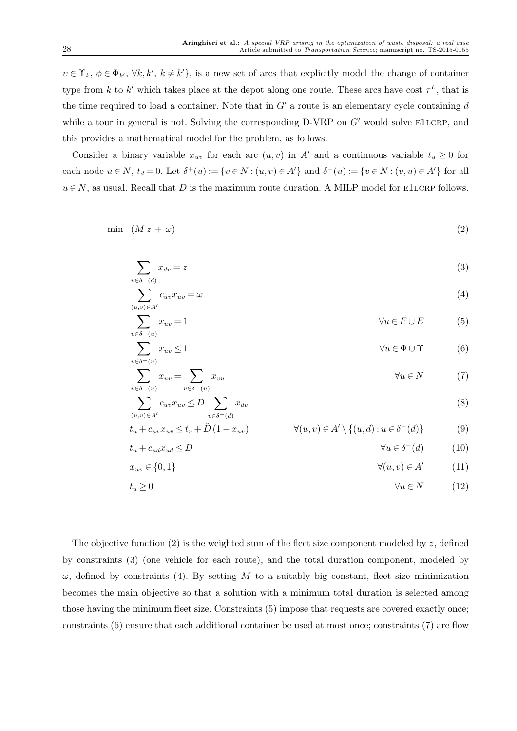$v \in \Upsilon_k, \, \phi \in \Phi_{k'}, \, \forall k, k', \, k \neq k' \},$  is a new set of arcs that explicitly model the change of container type from k to k' which takes place at the depot along one route. These arcs have cost  $\tau^L$ , that is the time required to load a container. Note that in  $G'$  a route is an elementary cycle containing  $d$ while a tour in general is not. Solving the corresponding D-VRP on  $G'$  would solve E1LCRP, and this provides a mathematical model for the problem, as follows.

Consider a binary variable  $x_{uv}$  for each arc  $(u, v)$  in A' and a continuous variable  $t_u \ge 0$  for each node  $u \in N$ ,  $t_d = 0$ . Let  $\delta^+(u) := \{v \in N : (u, v) \in A'\}$  and  $\delta^-(u) := \{v \in N : (v, u) \in A'\}$  for all  $u \in N$ , as usual. Recall that D is the maximum route duration. A MILP model for E1LCRP follows.

$$
\min \ (M z + \omega) \tag{2}
$$

$$
\sum_{v \in \delta^+(d)} x_{dv} = z \tag{3}
$$

$$
\sum_{(u,v)\in A'} c_{uv} x_{uv} = \omega \tag{4}
$$

$$
\sum_{v \in \delta^+(u)} x_{uv} = 1 \qquad \qquad \forall u \in F \cup E \tag{5}
$$

$$
\sum_{v \in \delta^+(u)} x_{uv} \le 1 \qquad \qquad \forall u \in \Phi \cup \Upsilon \qquad (6)
$$

$$
\sum_{v \in \delta^+(u)} x_{uv} = \sum_{v \in \delta^-(u)} x_{vu} \qquad \forall u \in N \tag{7}
$$

$$
\sum_{(u,v)\in A'} c_{uv} x_{uv} \le D \sum_{v\in \delta^+(d)} x_{dv}
$$
\n
$$
t + a \cdot x_{uv} \le t + \tilde{D}(1-x_{uv}) \qquad \forall (u,v)\in A' \setminus \{(u,d): u\in \delta^-(d)\} \tag{0}
$$

$$
t_u + c_{uv}x_{uv} \le t_v + \tilde{D}(1 - x_{uv}) \qquad \qquad \forall (u, v) \in A' \setminus \{(u, d) : u \in \delta^-(d)\}
$$
(9)

$$
t_u + c_{ud}x_{ud} \le D \qquad \qquad \forall u \in \delta^-(d) \qquad (10)
$$

$$
x_{uv} \in \{0, 1\} \qquad \qquad \forall (u, v) \in A' \tag{11}
$$

$$
t_u \ge 0 \qquad \qquad \forall u \in N \qquad (12)
$$

The objective function  $(2)$  is the weighted sum of the fleet size component modeled by z, defined by constraints (3) (one vehicle for each route), and the total duration component, modeled by  $\omega$ , defined by constraints (4). By setting M to a suitably big constant, fleet size minimization becomes the main objective so that a solution with a minimum total duration is selected among those having the minimum fleet size. Constraints (5) impose that requests are covered exactly once; constraints (6) ensure that each additional container be used at most once; constraints (7) are flow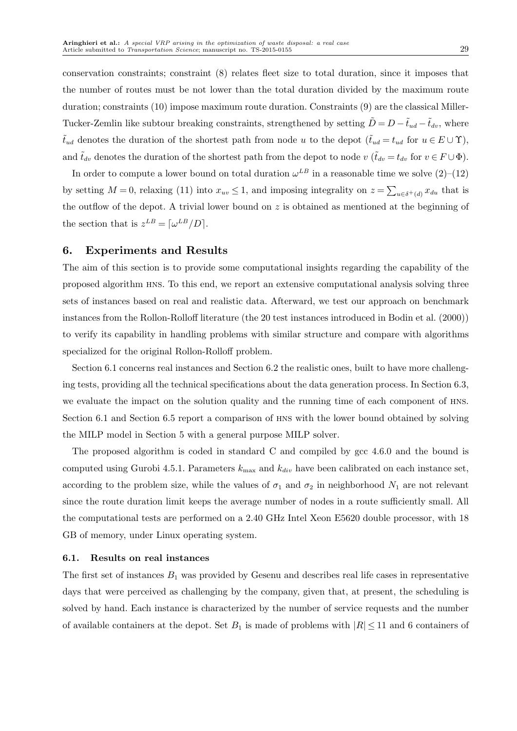conservation constraints; constraint (8) relates fleet size to total duration, since it imposes that the number of routes must be not lower than the total duration divided by the maximum route duration; constraints (10) impose maximum route duration. Constraints (9) are the classical Miller-Tucker-Zemlin like subtour breaking constraints, strengthened by setting  $\tilde{D} = D - \tilde{t}_{ud} - \tilde{t}_{dv}$ , where  $\tilde{t}_{ud}$  denotes the duration of the shortest path from node u to the depot  $(\tilde{t}_{ud} = t_{ud}$  for  $u \in E \cup \Upsilon)$ , and  $\tilde{t}_{dv}$  denotes the duration of the shortest path from the depot to node  $v$  ( $\tilde{t}_{dv} = t_{dv}$  for  $v \in F \cup \Phi$ ).

In order to compute a lower bound on total duration  $\omega^{LB}$  in a reasonable time we solve  $(2)$ – $(12)$ by setting  $M=0$ , relaxing (11) into  $x_{uv} \leq 1$ , and imposing integrality on  $z = \sum_{u \in \delta^+(d)} x_{du}$  that is the outflow of the depot. A trivial lower bound on z is obtained as mentioned at the beginning of the section that is  $z^{LB} = [\omega^{LB}/D].$ 

## 6. Experiments and Results

The aim of this section is to provide some computational insights regarding the capability of the proposed algorithm hns. To this end, we report an extensive computational analysis solving three sets of instances based on real and realistic data. Afterward, we test our approach on benchmark instances from the Rollon-Rolloff literature (the 20 test instances introduced in Bodin et al. (2000)) to verify its capability in handling problems with similar structure and compare with algorithms specialized for the original Rollon-Rolloff problem.

Section 6.1 concerns real instances and Section 6.2 the realistic ones, built to have more challenging tests, providing all the technical specifications about the data generation process. In Section 6.3, we evaluate the impact on the solution quality and the running time of each component of hns. Section 6.1 and Section 6.5 report a comparison of hns with the lower bound obtained by solving the MILP model in Section 5 with a general purpose MILP solver.

The proposed algorithm is coded in standard C and compiled by gcc 4.6.0 and the bound is computed using Gurobi 4.5.1. Parameters  $k_{\text{max}}$  and  $k_{div}$  have been calibrated on each instance set, according to the problem size, while the values of  $\sigma_1$  and  $\sigma_2$  in neighborhood  $N_1$  are not relevant since the route duration limit keeps the average number of nodes in a route sufficiently small. All the computational tests are performed on a 2.40 GHz Intel Xeon E5620 double processor, with 18 GB of memory, under Linux operating system.

#### 6.1. Results on real instances

The first set of instances  $B_1$  was provided by Gesenu and describes real life cases in representative days that were perceived as challenging by the company, given that, at present, the scheduling is solved by hand. Each instance is characterized by the number of service requests and the number of available containers at the depot. Set  $B_1$  is made of problems with  $|R| \leq 11$  and 6 containers of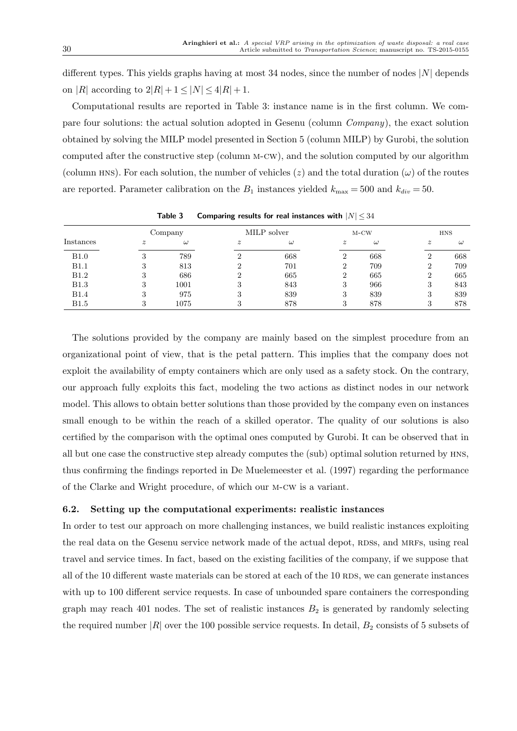different types. This yields graphs having at most 34 nodes, since the number of nodes  $|N|$  depends on |R| according to  $2|R| + 1 \leq |N| \leq 4|R| + 1$ .

Computational results are reported in Table 3: instance name is in the first column. We compare four solutions: the actual solution adopted in Gesenu (column Company), the exact solution obtained by solving the MILP model presented in Section 5 (column MILP) by Gurobi, the solution computed after the constructive step (column m-cw), and the solution computed by our algorithm (column HNS). For each solution, the number of vehicles  $(z)$  and the total duration  $(\omega)$  of the routes are reported. Parameter calibration on the  $B_1$  instances yielded  $k_{\text{max}} = 500$  and  $k_{div} = 50$ .

|              | Company          |          |                  | MILP solver |                  | $M-CW$   | <b>HNS</b>       |          |  |
|--------------|------------------|----------|------------------|-------------|------------------|----------|------------------|----------|--|
| Instances    | $\boldsymbol{z}$ | $\omega$ | $\boldsymbol{z}$ | $\omega$    | $\boldsymbol{z}$ | $\omega$ | $\boldsymbol{z}$ | $\omega$ |  |
| <b>B1.0</b>  | 3                | 789      |                  | 668         | ച                | 668      |                  | 668      |  |
| B1.1         | 3                | 813      |                  | 701         |                  | 709      |                  | 709      |  |
| <b>B1.2</b>  | 3                | 686      |                  | 665         | ച                | 665      | $\overline{ }$   | 665      |  |
| <b>B1.3</b>  | 3                | 1001     | 3                | 843         | 3                | 966      | 3                | 843      |  |
| <b>B1.4</b>  | 3                | 975      | 3                | 839         | 3                | 839      | .,               | 839      |  |
| <b>B</b> 1.5 | 3                | 1075     | ച                | 878         | 3                | 878      |                  | 878      |  |

Table 3 Comparing results for real instances with  $|N| \leq 34$ 

The solutions provided by the company are mainly based on the simplest procedure from an organizational point of view, that is the petal pattern. This implies that the company does not exploit the availability of empty containers which are only used as a safety stock. On the contrary, our approach fully exploits this fact, modeling the two actions as distinct nodes in our network model. This allows to obtain better solutions than those provided by the company even on instances small enough to be within the reach of a skilled operator. The quality of our solutions is also certified by the comparison with the optimal ones computed by Gurobi. It can be observed that in all but one case the constructive step already computes the (sub) optimal solution returned by hns, thus confirming the findings reported in De Muelemeester et al. (1997) regarding the performance of the Clarke and Wright procedure, of which our m-cw is a variant.

## 6.2. Setting up the computational experiments: realistic instances

In order to test our approach on more challenging instances, we build realistic instances exploiting the real data on the Gesenu service network made of the actual depot, RDSS, and MRFS, using real travel and service times. In fact, based on the existing facilities of the company, if we suppose that all of the 10 different waste materials can be stored at each of the 10 RDS, we can generate instances with up to 100 different service requests. In case of unbounded spare containers the corresponding graph may reach 401 nodes. The set of realistic instances  $B_2$  is generated by randomly selecting the required number  $|R|$  over the 100 possible service requests. In detail,  $B_2$  consists of 5 subsets of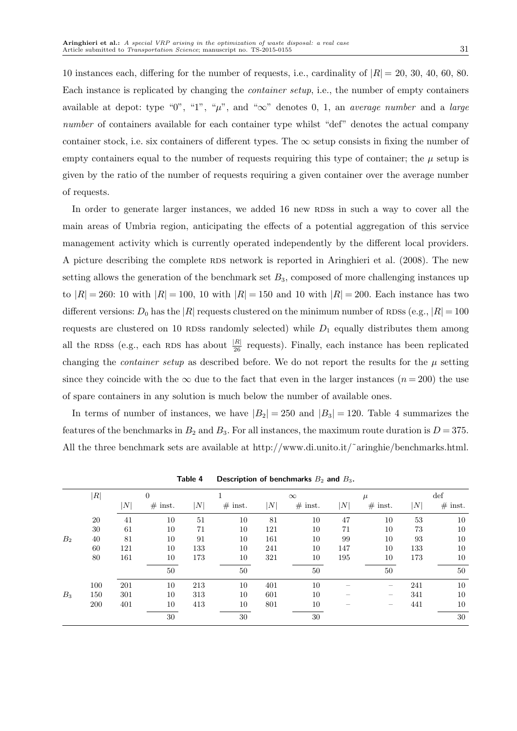10 instances each, differing for the number of requests, i.e., cardinality of  $|R| = 20, 30, 40, 60, 80$ . Each instance is replicated by changing the container setup, i.e., the number of empty containers available at depot: type "0", "1", " $\mu$ ", and " $\infty$ " denotes 0, 1, an *average number* and a *large* number of containers available for each container type whilst "def" denotes the actual company container stock, i.e. six containers of different types. The  $\infty$  setup consists in fixing the number of empty containers equal to the number of requests requiring this type of container; the  $\mu$  setup is given by the ratio of the number of requests requiring a given container over the average number of requests.

In order to generate larger instances, we added 16 new RDSs in such a way to cover all the main areas of Umbria region, anticipating the effects of a potential aggregation of this service management activity which is currently operated independently by the different local providers. A picture describing the complete RDS network is reported in Aringhieri et al. (2008). The new setting allows the generation of the benchmark set  $B_3$ , composed of more challenging instances up to  $|R| = 260$ : 10 with  $|R| = 100$ , 10 with  $|R| = 150$  and 10 with  $|R| = 200$ . Each instance has two different versions:  $D_0$  has the |R| requests clustered on the minimum number of RDSs (e.g.,  $|R| = 100$ requests are clustered on 10 RDSs randomly selected) while  $D_1$  equally distributes them among all the RDSs (e.g., each RDS has about  $\frac{|R|}{26}$  requests). Finally, each instance has been replicated changing the *container setup* as described before. We do not report the results for the  $\mu$  setting since they coincide with the  $\infty$  due to the fact that even in the larger instances  $(n = 200)$  the use of spare containers in any solution is much below the number of available ones.

In terms of number of instances, we have  $|B_2| = 250$  and  $|B_3| = 120$ . Table 4 summarizes the features of the benchmarks in  $B_2$  and  $B_3$ . For all instances, the maximum route duration is  $D = 375$ . All the three benchmark sets are available at http://www.di.unito.it/˜aringhie/benchmarks.html.

|                | R          |     | $\overline{0}$ |     |           |     | $\infty$  |     | $\mu$     |     | $\det$    |
|----------------|------------|-----|----------------|-----|-----------|-----|-----------|-----|-----------|-----|-----------|
|                |            | N   | $#$ inst.      | N   | $#$ inst. | N   | $#$ inst. | N   | $#$ inst. | N   | $#$ inst. |
|                | 20         | 41  | 10             | 51  | 10        | 81  | 10        | 47  | 10        | 53  | 10        |
|                | 30         | 61  | 10             | 71  | 10        | 121 | 10        | 71  | 10        | 73  | 10        |
| B <sub>2</sub> | 40         | 81  | 10             | 91  | 10        | 161 | 10        | 99  | 10        | 93  | 10        |
|                | 60         | 121 | 10             | 133 | 10        | 241 | 10        | 147 | 10        | 133 | 10        |
|                | 80         | 161 | 10             | 173 | 10        | 321 | 10        | 195 | 10        | 173 | 10        |
|                |            |     | 50             |     | 50        |     | 50        |     | 50        |     | 50        |
|                | 100        | 201 | 10             | 213 | 10        | 401 | 10        |     | -         | 241 | 10        |
| $B_3$          | 150        | 301 | 10             | 313 | 10        | 601 | 10        |     | -         | 341 | 10        |
|                | <b>200</b> | 401 | 10             | 413 | 10        | 801 | 10        |     |           | 441 | 10        |
|                |            |     | 30             |     | 30        |     | 30        |     |           |     | 30        |

Table 4 Description of benchmarks  $B_2$  and  $B_3$ .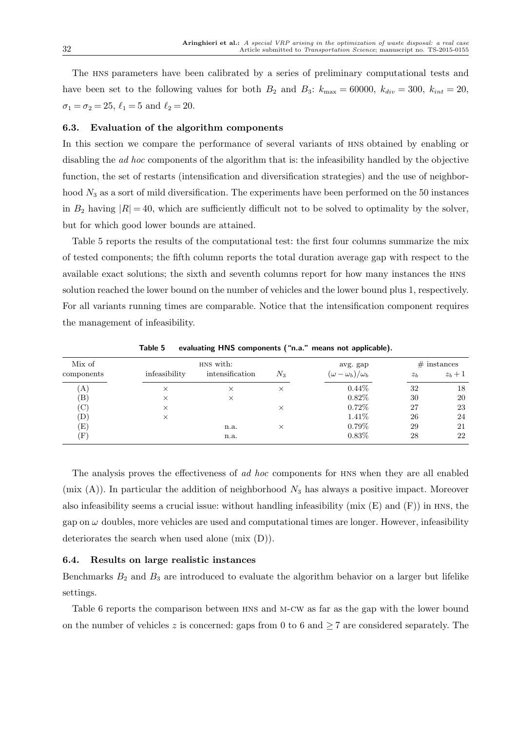The hns parameters have been calibrated by a series of preliminary computational tests and have been set to the following values for both  $B_2$  and  $B_3$ :  $k_{\text{max}} = 60000$ ,  $k_{div} = 300$ ,  $k_{int} = 20$ ,  $\sigma_1 = \sigma_2 = 25, \, \ell_1 = 5 \text{ and } \ell_2 = 20.$ 

#### 6.3. Evaluation of the algorithm components

In this section we compare the performance of several variants of hns obtained by enabling or disabling the *ad hoc* components of the algorithm that is: the infeasibility handled by the objective function, the set of restarts (intensification and diversification strategies) and the use of neighborhood  $N_3$  as a sort of mild diversification. The experiments have been performed on the 50 instances in  $B_2$  having  $|R| = 40$ , which are sufficiently difficult not to be solved to optimality by the solver, but for which good lower bounds are attained.

Table 5 reports the results of the computational test: the first four columns summarize the mix of tested components; the fifth column reports the total duration average gap with respect to the available exact solutions; the sixth and seventh columns report for how many instances the hns solution reached the lower bound on the number of vehicles and the lower bound plus 1, respectively. For all variants running times are comparable. Notice that the intensification component requires the management of infeasibility.

| Mix of                     |               | HNS with:       | avg. gap | $#$ instances                  |                |         |
|----------------------------|---------------|-----------------|----------|--------------------------------|----------------|---------|
| components                 | infeasibility | intensification | $N_3$    | $(\omega - \omega_b)/\omega_b$ | z <sub>b</sub> | $z_b+1$ |
| [A]                        | $\times$      | $\times$        | $\times$ | $0.44\%$                       | 32             | 18      |
| $\left( \mathrm{B}\right)$ | $\times$      | $\times$        |          | 0.82%                          | 30             | 20      |
| $\rm (C)$                  | X             |                 | $\times$ | 0.72%                          | 27             | 23      |
| D)                         | $\times$      |                 |          | 1.41\%                         | 26             | 24      |
| $\left( \mathrm{E}\right)$ |               | n.a.            | $\times$ | $0.79\%$                       | 29             | 21      |
| $(\mathrm{F})$             |               | n.a.            |          | 0.83%                          | 28             | 22      |

Table 5 evaluating HNS components ("n.a." means not applicable).

The analysis proves the effectiveness of ad hoc components for HNS when they are all enabled (mix  $(A)$ ). In particular the addition of neighborhood  $N_3$  has always a positive impact. Moreover also infeasibility seems a crucial issue: without handling infeasibility (mix  $(E)$ ) and  $(F)$ ) in HNS, the gap on  $\omega$  doubles, more vehicles are used and computational times are longer. However, infeasibility deteriorates the search when used alone (mix (D)).

#### 6.4. Results on large realistic instances

Benchmarks  $B_2$  and  $B_3$  are introduced to evaluate the algorithm behavior on a larger but lifelike settings.

Table 6 reports the comparison between hns and m-cw as far as the gap with the lower bound on the number of vehicles z is concerned: gaps from 0 to 6 and  $\geq 7$  are considered separately. The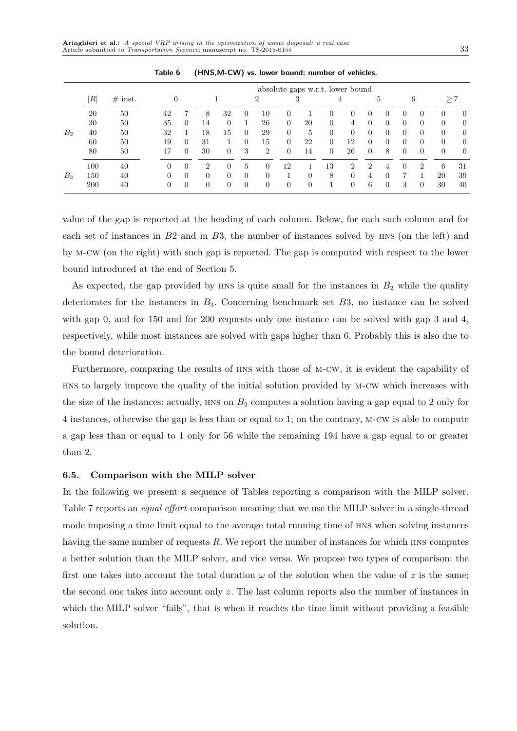|                |                           |           |    |          |                             |                |          |                | absolute gaps w.r.t. lower bound |          |                |          |                             |          |          |                |                |                |
|----------------|---------------------------|-----------|----|----------|-----------------------------|----------------|----------|----------------|----------------------------------|----------|----------------|----------|-----------------------------|----------|----------|----------------|----------------|----------------|
|                | $\left\vert R\right\vert$ | $#$ inst. |    |          |                             |                |          | 2              |                                  | ð        |                | 4        |                             | 5        |          | 6              |                | >7             |
|                | 20                        | 50        | 42 |          | 8                           | 32             | $\theta$ | 10             | 0                                |          | 0              | $^{(1)}$ | 0                           |          |          | 0              | $\theta$       | $\Omega$       |
|                | 30                        | 50        | 35 | $\left($ | 14                          | $\overline{0}$ |          | 26             | $\overline{0}$                   | 20       | $\overline{0}$ | 4        | $\overline{0}$              | $\Omega$ | 0        | $\overline{0}$ | $\theta$       | $\overline{0}$ |
| B <sub>2</sub> | 40                        | 50        | 32 |          | 18                          | 15             | $\Omega$ | 29             | $\overline{0}$                   | 5        | $\overline{0}$ | $\theta$ | $\overline{0}$              | $\Omega$ | 0        | $\overline{0}$ | $\overline{0}$ | $\theta$       |
|                | 60                        | 50        | 19 | $\Omega$ | 31                          |                | $\Omega$ | 15             | $\overline{0}$                   | 22       | $\overline{0}$ | 12       | $\Omega$                    | $\Omega$ | 0        | 0              | $\overline{0}$ | $\theta$       |
|                | 80                        | 50        |    | $\left($ | 30                          | $\overline{0}$ | 3        | $\overline{2}$ | $\Omega$                         | 14       | $\Omega$       | 26       | $\Omega$                    | 8        | $\Omega$ | $\overline{0}$ | $\overline{0}$ | $\overline{0}$ |
|                | 100                       | 40        | 0  |          | $\mathcal{D}_{\mathcal{L}}$ | $\Omega$       | 5        |                | 12                               |          | 13             | 2        | $\mathcal{D}_{\mathcal{L}}$ |          |          | 2              | 6              | 31             |
| $B_3$          | 150                       | 40        |    | $\left($ | $\Omega$                    | $\overline{0}$ | $\Omega$ | $\Omega$       |                                  | 0        | 8              | $\Omega$ | 4                           | $\Omega$ |          |                | 20             | 39             |
|                | <b>200</b>                | 40        | 0  | $\theta$ | $\overline{0}$              | $\overline{0}$ | $\Omega$ | $\Omega$       | $\overline{0}$                   | $\Omega$ |                | $\Omega$ | 6                           | $\theta$ | 3        | 0              | 30             | 40             |

Table 6 (HNS,M-CW) vs. lower bound: number of vehicles.

value of the gap is reported at the heading of each column. Below, for each such column and for each set of instances in B2 and in B3, the number of instances solved by HNS (on the left) and by m-cw (on the right) with such gap is reported. The gap is computed with respect to the lower bound introduced at the end of Section 5.

As expected, the gap provided by HNS is quite small for the instances in  $B_2$  while the quality deteriorates for the instances in  $B_3$ . Concerning benchmark set  $B_3$ , no instance can be solved with gap 0, and for 150 and for 200 requests only one instance can be solved with gap 3 and 4, respectively, while most instances are solved with gaps higher than 6. Probably this is also due to the bound deterioration.

Furthermore, comparing the results of HNS with those of M-CW, it is evident the capability of hns to largely improve the quality of the initial solution provided by m-cw which increases with the size of the instances: actually,  $HNS$  on  $B<sub>2</sub>$  computes a solution having a gap equal to 2 only for 4 instances, otherwise the gap is less than or equal to 1; on the contrary, m-cw is able to compute a gap less than or equal to 1 only for 56 while the remaining 194 have a gap equal to or greater than 2.

#### 6.5. Comparison with the MILP solver

In the following we present a sequence of Tables reporting a comparison with the MILP solver. Table 7 reports an *equal effort* comparison meaning that we use the MILP solver in a single-thread mode imposing a time limit equal to the average total running time of hns when solving instances having the same number of requests R. We report the number of instances for which hns computes a better solution than the MILP solver, and vice versa. We propose two types of comparison: the first one takes into account the total duration  $\omega$  of the solution when the value of z is the same; the second one takes into account only z. The last column reports also the number of instances in which the MILP solver "fails", that is when it reaches the time limit without providing a feasible solution.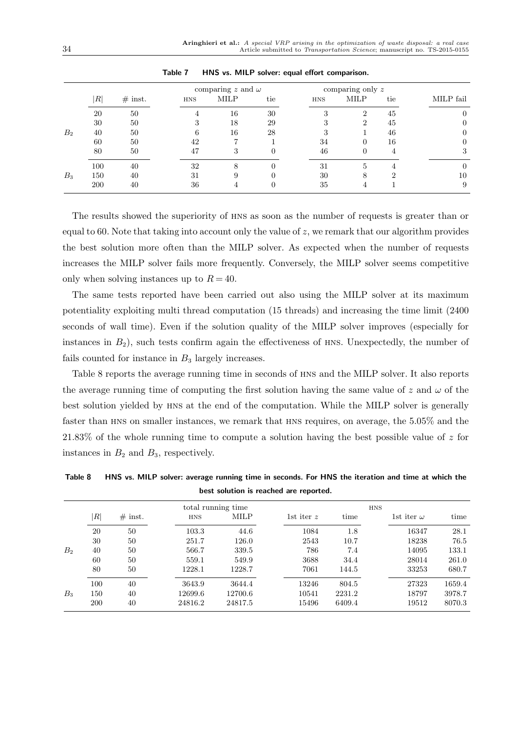|                |     |           |            | comparing z and $\omega$ |          |     | comparing only $z$ |     |           |
|----------------|-----|-----------|------------|--------------------------|----------|-----|--------------------|-----|-----------|
|                | R   | $#$ inst. | <b>HNS</b> | MILP                     | tie      | HNS | MILP               | tie | MILP fail |
|                | 20  | 50        | 4          | 16                       | 30       | 3   | $\mathcal{D}$      | 45  |           |
|                | 30  | 50        | 3          | 18                       | 29       |     | $\mathcal{D}$      | 45  |           |
| B <sub>2</sub> | 40  | 50        | 6          | 16                       | 28       | 3   |                    | 46  |           |
|                | 60  | 50        | 42         |                          |          | 34  | $^{(1)}$           | 16  |           |
|                | 80  | 50        | 47         | 3                        | $\left($ | 46  | $\theta$           |     | 3         |
|                | 100 | 40        | 32         | 8                        |          | 31  | 5                  |     | $\theta$  |
| $B_3$          | 150 | 40        | 31         | 9                        |          | 30  | 8                  |     | 10        |
|                | 200 | 40        | 36         |                          |          | 35  |                    |     | 9         |

Table 7 HNS vs. MILP solver: equal effort comparison.

The results showed the superiority of hns as soon as the number of requests is greater than or equal to 60. Note that taking into account only the value of z, we remark that our algorithm provides the best solution more often than the MILP solver. As expected when the number of requests increases the MILP solver fails more frequently. Conversely, the MILP solver seems competitive only when solving instances up to  $R = 40$ .

The same tests reported have been carried out also using the MILP solver at its maximum potentiality exploiting multi thread computation (15 threads) and increasing the time limit (2400 seconds of wall time). Even if the solution quality of the MILP solver improves (especially for instances in  $B_2$ ), such tests confirm again the effectiveness of HNS. Unexpectedly, the number of fails counted for instance in  $B_3$  largely increases.

Table 8 reports the average running time in seconds of hns and the MILP solver. It also reports the average running time of computing the first solution having the same value of z and  $\omega$  of the best solution yielded by hns at the end of the computation. While the MILP solver is generally faster than hns on smaller instances, we remark that hns requires, on average, the 5.05% and the 21.83% of the whole running time to compute a solution having the best possible value of  $z$  for instances in  $B_2$  and  $B_3$ , respectively.

Table 8 HNS vs. MILP solver: average running time in seconds. For HNS the iteration and time at which the best solution is reached are reported.

|       |     |            |            | total running time |              |        | <b>HNS</b>        |        |
|-------|-----|------------|------------|--------------------|--------------|--------|-------------------|--------|
|       | R   | $\#$ inst. | <b>HNS</b> | MILP               | 1st iter $z$ | time   | 1st iter $\omega$ | time   |
|       | 20  | 50         | 103.3      | 44.6               | 1084         | 1.8    | 16347             | 28.1   |
|       | 30  | 50         | 251.7      | 126.0              | 2543         | 10.7   | 18238             | 76.5   |
| $B_2$ | 40  | 50         | 566.7      | 339.5              | 786          | 7.4    | 14095             | 133.1  |
|       | 60  | 50         | 559.1      | 549.9              | 3688         | 34.4   | 28014             | 261.0  |
|       | 80  | 50         | 1228.1     | 1228.7             | 7061         | 144.5  | 33253             | 680.7  |
|       | 100 | 40         | 3643.9     | 3644.4             | 13246        | 804.5  | 27323             | 1659.4 |
| $B_3$ | 150 | 40         | 12699.6    | 12700.6            | 10541        | 2231.2 | 18797             | 3978.7 |
|       | 200 | 40         | 24816.2    | 24817.5            | 15496        | 6409.4 | 19512             | 8070.3 |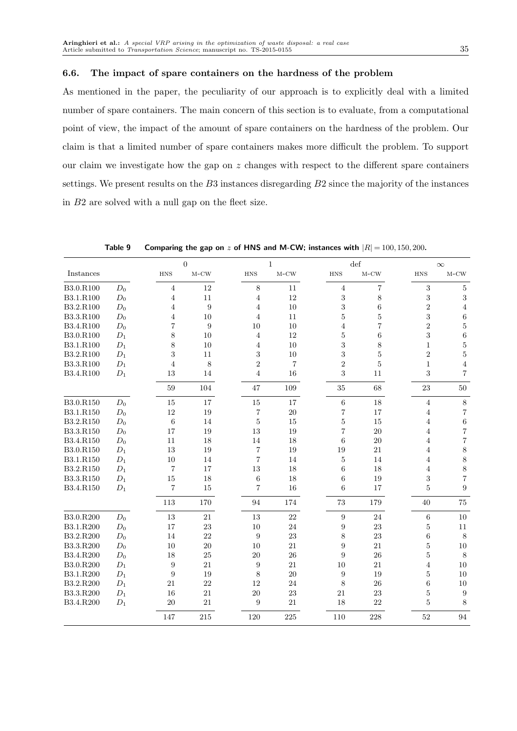#### 6.6. The impact of spare containers on the hardness of the problem

As mentioned in the paper, the peculiarity of our approach is to explicitly deal with a limited number of spare containers. The main concern of this section is to evaluate, from a computational point of view, the impact of the amount of spare containers on the hardness of the problem. Our claim is that a limited number of spare containers makes more difficult the problem. To support our claim we investigate how the gap on z changes with respect to the different spare containers settings. We present results on the B3 instances disregarding B2 since the majority of the instances in B2 are solved with a null gap on the fleet size.

|           |                 |                         | $\overline{0}$   |                  | $\,1$          |                          | $\det$         |                | $\infty$                |
|-----------|-----------------|-------------------------|------------------|------------------|----------------|--------------------------|----------------|----------------|-------------------------|
| Instances |                 | ${\rm HNS}$             | $M-CW$           | <b>HNS</b>       | $M-CW$         | <b>HNS</b>               | $M-CW$         | ${\rm HNS}$    | $M-CW$                  |
| B3.0.R100 | $D_0$           | $\sqrt{4}$              | $12\,$           | 8                | 11             | $\sqrt{4}$               | $\overline{7}$ | 3              | $\bf 5$                 |
| B3.1.R100 | $D_0$           | $\overline{4}$          | 11               | 4                | 12             | $\sqrt{3}$               | 8              | 3              | $\sqrt{3}$              |
| B3.2.R100 | $D_0$           | $\overline{4}$          | $\boldsymbol{9}$ | 4                | 10             | 3                        | 6              | $\overline{2}$ | $\sqrt{4}$              |
| B3.3.R100 | $D_0$           | 4                       | 10               | 4                | 11             | $\bf 5$                  | $\overline{5}$ | 3              | $\,6$                   |
| B3.4.R100 | $D_0$           | $\overline{7}$          | 9                | 10               | 10             | $\overline{4}$           | $\overline{7}$ | $\overline{2}$ | $\bf 5$                 |
| B3.0.R100 | $D_1$           | 8                       | 10               | $\overline{4}$   | 12             | $\bf 5$                  | 6              | 3              | $\,$ 6 $\,$             |
| B3.1.R100 | $D_1$           | 8                       | 10               | $\overline{4}$   | $10\,$         | 3                        | 8              | $\mathbf{1}$   | $\bf 5$                 |
| B3.2.R100 | $D_1$           | 3                       | 11               | 3                | 10             | 3                        | $\overline{5}$ | $\overline{2}$ | $\bf 5$                 |
| B3.3.R100 | $\mathcal{D}_1$ | $\overline{4}$          | $8\,$            | $\overline{2}$   | $\overline{7}$ | $\overline{2}$           | $\overline{5}$ | $\mathbf{1}$   | $\,4\,$                 |
| B3.4.R100 | $D_1$           | 13                      | 14               | $\overline{4}$   | 16             | 3                        | 11             | 3              | $\overline{7}$          |
|           |                 | $59\,$                  | 104              | 47               | 109            | $35\,$                   | 68             | $23\,$         | $50\,$                  |
| B3.0.R150 | $D_0$           | 15                      | $17\,$           | 15               | $17\,$         | $\,6\,$                  | 18             | $\,4\,$        | $\,8\,$                 |
| B3.1.R150 | $D_0$           | 12                      | 19               | $\overline{7}$   | 20             | $\overline{7}$           | 17             | $\overline{4}$ | $\,7$                   |
| B3.2.R150 | $D_0$           | $\,$ 6 $\,$             | 14               | $\bf 5$          | 15             | $\bf 5$                  | 15             | $\overline{4}$ | $\,6\,$                 |
| B3.3.R150 | $D_0$           | 17                      | 19               | 13               | 19             | $\overline{\mathcal{U}}$ | 20             | $\overline{4}$ | $\overline{\mathbf{7}}$ |
| B3.4.R150 | $D_0$           | 11                      | 18               | 14               | 18             | 6                        | 20             | $\overline{4}$ | $\overline{\mathbf{7}}$ |
| B3.0.R150 | $D_1$           | $13\,$                  | $19\,$           | $\overline{7}$   | 19             | $19\,$                   | 21             | $\overline{4}$ | $\,$ $\,$               |
| B3.1.R150 | $D_1$           | 10                      | 14               | $\overline{7}$   | 14             | $\bf 5$                  | 14             | $\overline{4}$ | $\,$ $\,$               |
| B3.2.R150 | $D_1$           | $\overline{7}$          | 17               | 13               | 18             | 6                        | 18             | 4              | $\,$ $\,$               |
| B3.3.R150 | $\mathcal{D}_1$ | 15                      | 18               | 6                | 18             | 6                        | 19             | 3              | $\overline{\mathbf{7}}$ |
| B3.4.R150 | $D_1$           | $\overline{\mathbf{7}}$ | 15               | $\overline{7}$   | 16             | 6                        | 17             | $\overline{5}$ | 9                       |
|           |                 | 113                     | $170\,$          | 94               | 174            | $73\,$                   | 179            | 40             | $75\,$                  |
| B3.0.R200 | $D_0$           | $13\,$                  | $21\,$           | 13               | 22             | $\boldsymbol{9}$         | 24             | $\,6\,$        | 10                      |
| B3.1.R200 | $D_0$           | 17                      | 23               | 10               | 24             | 9                        | 23             | $\bf 5$        | 11                      |
| B3.2.R200 | $D_0$           | $14\,$                  | 22               | 9                | 23             | 8                        | 23             | $\,6$          | $\,8\,$                 |
| B3.3.R200 | $D_0$           | 10                      | 20               | 10               | 21             | 9                        | 21             | $\overline{5}$ | 10                      |
| B3.4.R200 | $D_0$           | 18                      | $25\,$           | 20               | 26             | $\boldsymbol{9}$         | 26             | $\bf 5$        | $\,8\,$                 |
| B3.0.R200 | $D_1$           | $\boldsymbol{9}$        | 21               | $\boldsymbol{9}$ | 21             | $10\,$                   | 21             | $\overline{4}$ | 10                      |
| B3.1.R200 | $D_1$           | 9                       | 19               | 8                | 20             | 9                        | 19             | $\overline{5}$ | 10                      |
| B3.2.R200 | $D_1$           | 21                      | 22               | 12               | 24             | $8\,$                    | 26             | $\,6$          | 10                      |
| B3.3.R200 | $D_1$           | 16                      | 21               | 20               | 23             | 21                       | 23             | $\overline{5}$ | $\boldsymbol{9}$        |
| B3.4.R200 | $D_1$           | $20\,$                  | 21               | 9                | 21             | 18                       | 22             | 5              | 8                       |
|           |                 | 147                     | 215              | 120              | 225            | 110                      | 228            | 52             | 94                      |

Table 9 Comparing the gap on z of HNS and M-CW; instances with  $|R| = 100, 150, 200$ .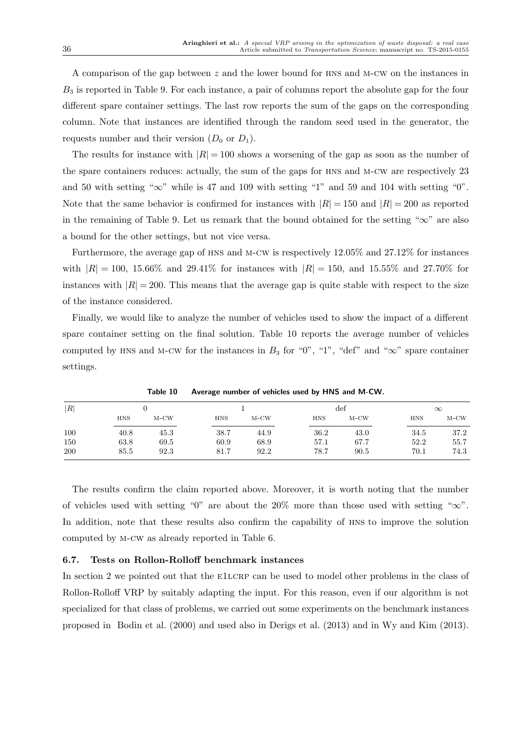A comparison of the gap between z and the lower bound for HNS and M-CW on the instances in  $B_3$  is reported in Table 9. For each instance, a pair of columns report the absolute gap for the four different spare container settings. The last row reports the sum of the gaps on the corresponding column. Note that instances are identified through the random seed used in the generator, the requests number and their version  $(D_0 \text{ or } D_1)$ .

The results for instance with  $|R| = 100$  shows a worsening of the gap as soon as the number of the spare containers reduces: actually, the sum of the gaps for hns and m-cw are respectively 23 and 50 with setting " $\infty$ " while is 47 and 109 with setting "1" and 59 and 104 with setting "0". Note that the same behavior is confirmed for instances with  $|R| = 150$  and  $|R| = 200$  as reported in the remaining of Table 9. Let us remark that the bound obtained for the setting " $\infty$ " are also a bound for the other settings, but not vice versa.

Furthermore, the average gap of hns and m-cw is respectively 12.05% and 27.12% for instances with  $|R| = 100$ , 15.66% and 29.41% for instances with  $|R| = 150$ , and 15.55% and 27.70% for instances with  $|R| = 200$ . This means that the average gap is quite stable with respect to the size of the instance considered.

Finally, we would like to analyze the number of vehicles used to show the impact of a different spare container setting on the final solution. Table 10 reports the average number of vehicles computed by HNS and M-CW for the instances in  $B_3$  for "0", "1", "def" and " $\infty$ " spare container settings.

|     |            | TUDIC 10 |            | <b>AVGTACE HUMBER OF VEHICLES USED BY THISS GHD IVI-CVV.</b> |            |                |            |        |  |
|-----|------------|----------|------------|--------------------------------------------------------------|------------|----------------|------------|--------|--|
| R   |            |          |            |                                                              |            | $\mathrm{def}$ | $\infty$   |        |  |
|     | <b>HNS</b> | $M-CW$   | <b>HNS</b> | $M-CW$                                                       | <b>HNS</b> | $M-CW$         | <b>HNS</b> | $M-CW$ |  |
| 100 | 40.8       | 45.3     | 38.7       | 44.9                                                         | 36.2       | 43.0           | 34.5       | 37.2   |  |
| 150 | 63.8       | 69.5     | 60.9       | 68.9                                                         | 57.1       | 67.7           | 52.2       | 55.7   |  |
| 200 | 85.5       | 92.3     | 81.7       | 92.2                                                         | 78.7       | 90.5           | 70.1       | 74.3   |  |

Table 10 Average number of vehicles used by HNS and M-CW.

The results confirm the claim reported above. Moreover, it is worth noting that the number of vehicles used with setting "0" are about the 20% more than those used with setting " $\infty$ ". In addition, note that these results also confirm the capability of HNS to improve the solution computed by m-cw as already reported in Table 6.

#### 6.7. Tests on Rollon-Rolloff benchmark instances

In section 2 we pointed out that the E1LCRP can be used to model other problems in the class of Rollon-Rolloff VRP by suitably adapting the input. For this reason, even if our algorithm is not specialized for that class of problems, we carried out some experiments on the benchmark instances proposed in Bodin et al. (2000) and used also in Derigs et al. (2013) and in Wy and Kim (2013).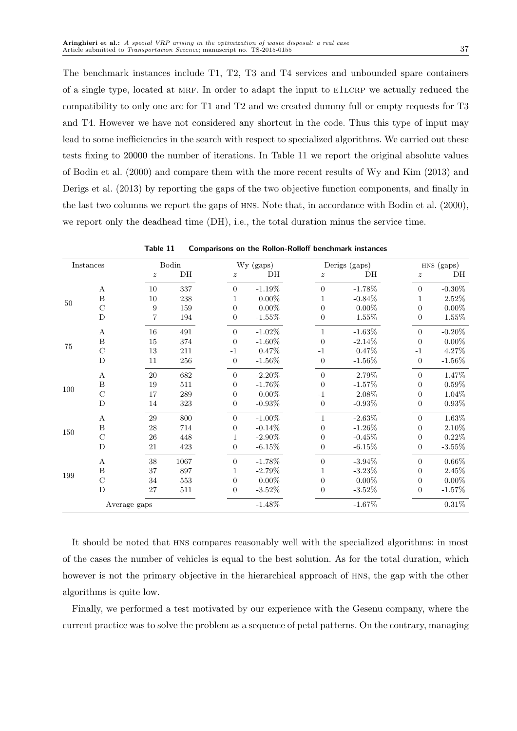The benchmark instances include T1, T2, T3 and T4 services and unbounded spare containers of a single type, located at MRF. In order to adapt the input to E1LCRP we actually reduced the compatibility to only one arc for T1 and T2 and we created dummy full or empty requests for T3 and T4. However we have not considered any shortcut in the code. Thus this type of input may lead to some inefficiencies in the search with respect to specialized algorithms. We carried out these tests fixing to 20000 the number of iterations. In Table 11 we report the original absolute values of Bodin et al. (2000) and compare them with the more recent results of Wy and Kim (2013) and Derigs et al. (2013) by reporting the gaps of the two objective function components, and finally in the last two columns we report the gaps of hns. Note that, in accordance with Bodin et al. (2000), we report only the deadhead time (DH), i.e., the total duration minus the service time.

|     | $In statements% \begin{equation} \left\Vert \rho_{\alpha}\right\Vert _{1}\leq\left\Vert \rho_{\alpha}\right\Vert _{1}=\left\Vert \rho_{\alpha}\right\Vert _{1} \end{equation} where $\rho_{\alpha}$ is the same as in the case of $\rho_{\alpha}$ and $\rho_{\alpha}$ is the same as in the case of $\rho_{\alpha}$ and $\rho_{\alpha}$ is the same as in the case of $\rho_{\alpha}$ and $\rho_{\alpha}$ is the same as in the case of $\rho_{\alpha}$ and $\rho_{\alpha}$ is the same as in the case of $\rho_{\alpha}$ and $\rho_{\alpha}$ is the same as in the case of $\rho_{\alpha}$ and $\rho_{\alpha}$ is the same as in the case of $\rho_{\alpha}$ and $\rho_{\$ |                  | Bodin     |                  | Wy (gaps) |                  | Derigs (gaps) |                  | HNS (gaps) |
|-----|-----------------------------------------------------------------------------------------------------------------------------------------------------------------------------------------------------------------------------------------------------------------------------------------------------------------------------------------------------------------------------------------------------------------------------------------------------------------------------------------------------------------------------------------------------------------------------------------------------------------------------------------------------------------------------|------------------|-----------|------------------|-----------|------------------|---------------|------------------|------------|
|     |                                                                                                                                                                                                                                                                                                                                                                                                                                                                                                                                                                                                                                                                             | $\boldsymbol{z}$ | $\rm{DH}$ | $\boldsymbol{z}$ | DH        | $\boldsymbol{z}$ | DH            | $\boldsymbol{z}$ | DH         |
|     | А                                                                                                                                                                                                                                                                                                                                                                                                                                                                                                                                                                                                                                                                           | 10               | 337       | $\overline{0}$   | $-1.19%$  | $\boldsymbol{0}$ | $-1.78%$      | $\boldsymbol{0}$ | $-0.30\%$  |
| 50  | $\boldsymbol{B}$                                                                                                                                                                                                                                                                                                                                                                                                                                                                                                                                                                                                                                                            | 10               | 238       | 1                | $0.00\%$  | $\mathbf 1$      | $-0.84%$      | $\mathbf{1}$     | $2.52\%$   |
|     | $\mathcal{C}$                                                                                                                                                                                                                                                                                                                                                                                                                                                                                                                                                                                                                                                               | 9                | 159       | $\overline{0}$   | $0.00\%$  | $\overline{0}$   | $0.00\%$      | $\boldsymbol{0}$ | $0.00\%$   |
|     | D                                                                                                                                                                                                                                                                                                                                                                                                                                                                                                                                                                                                                                                                           | 7                | 194       | $\boldsymbol{0}$ | $-1.55%$  | $\boldsymbol{0}$ | $-1.55%$      | $\overline{0}$   | $-1.55\%$  |
|     | А                                                                                                                                                                                                                                                                                                                                                                                                                                                                                                                                                                                                                                                                           | 16               | 491       | $\boldsymbol{0}$ | $-1.02\%$ | 1                | $-1.63\%$     | $\boldsymbol{0}$ | $-0.20\%$  |
| 75  | B                                                                                                                                                                                                                                                                                                                                                                                                                                                                                                                                                                                                                                                                           | 15               | 374       | $\theta$         | $-1.60\%$ | $\boldsymbol{0}$ | $-2.14%$      | $\overline{0}$   | $0.00\%$   |
|     | $\mathcal{C}$                                                                                                                                                                                                                                                                                                                                                                                                                                                                                                                                                                                                                                                               | 13               | 211       | $-1$             | 0.47%     | $-1$             | 0.47%         | $-1$             | 4.27%      |
|     | D                                                                                                                                                                                                                                                                                                                                                                                                                                                                                                                                                                                                                                                                           | 11               | 256       | $\overline{0}$   | $-1.56%$  | $\overline{0}$   | $-1.56%$      | $\boldsymbol{0}$ | $-1.56\%$  |
|     | А                                                                                                                                                                                                                                                                                                                                                                                                                                                                                                                                                                                                                                                                           | $20\,$           | 682       | $\boldsymbol{0}$ | $-2.20\%$ | $\boldsymbol{0}$ | $-2.79%$      | $\boldsymbol{0}$ | $-1.47%$   |
| 100 | $\boldsymbol{B}$                                                                                                                                                                                                                                                                                                                                                                                                                                                                                                                                                                                                                                                            | 19               | 511       | $\overline{0}$   | $-1.76%$  | $\overline{0}$   | $-1.57%$      | $\boldsymbol{0}$ | $0.59\%$   |
|     | $\mathcal{C}$                                                                                                                                                                                                                                                                                                                                                                                                                                                                                                                                                                                                                                                               | 17               | 289       | $\boldsymbol{0}$ | $0.00\%$  | $-1$             | $2.08\%$      | $\overline{0}$   | $1.04\%$   |
|     | D                                                                                                                                                                                                                                                                                                                                                                                                                                                                                                                                                                                                                                                                           | 14               | 323       | 0                | $-0.93%$  | $\boldsymbol{0}$ | $-0.93%$      | $\boldsymbol{0}$ | 0.93%      |
|     | А                                                                                                                                                                                                                                                                                                                                                                                                                                                                                                                                                                                                                                                                           | 29               | 800       | $\boldsymbol{0}$ | $-1.00\%$ | $\mathbf{1}$     | $-2.63\%$     | $\boldsymbol{0}$ | $1.63\%$   |
| 150 | B                                                                                                                                                                                                                                                                                                                                                                                                                                                                                                                                                                                                                                                                           | 28               | 714       | $\boldsymbol{0}$ | $-0.14\%$ | $\overline{0}$   | $-1.26%$      | $\overline{0}$   | $2.10\%$   |
|     | $\mathcal{C}$                                                                                                                                                                                                                                                                                                                                                                                                                                                                                                                                                                                                                                                               | 26               | 448       | $\mathbf{1}$     | $-2.90\%$ | $\overline{0}$   | $-0.45%$      | $\overline{0}$   | $0.22\%$   |
|     | D                                                                                                                                                                                                                                                                                                                                                                                                                                                                                                                                                                                                                                                                           | 21               | 423       | $\overline{0}$   | $-6.15\%$ | $\overline{0}$   | $-6.15%$      | $\boldsymbol{0}$ | $-3.55\%$  |
|     | А                                                                                                                                                                                                                                                                                                                                                                                                                                                                                                                                                                                                                                                                           | 38               | 1067      | $\boldsymbol{0}$ | $-1.78%$  | $\boldsymbol{0}$ | $-3.94\%$     | $\boldsymbol{0}$ | 0.66%      |
| 199 | B                                                                                                                                                                                                                                                                                                                                                                                                                                                                                                                                                                                                                                                                           | 37               | 897       | $\mathbf{1}$     | $-2.79%$  | 1                | $-3.23%$      | $\boldsymbol{0}$ | $2.45\%$   |
|     | $\mathcal{C}$                                                                                                                                                                                                                                                                                                                                                                                                                                                                                                                                                                                                                                                               | 34               | 553       | $\boldsymbol{0}$ | $0.00\%$  | $\boldsymbol{0}$ | $0.00\%$      | $\boldsymbol{0}$ | $0.00\%$   |
|     | D                                                                                                                                                                                                                                                                                                                                                                                                                                                                                                                                                                                                                                                                           | 27               | 511       | $\overline{0}$   | $-3.52\%$ | $\overline{0}$   | $-3.52\%$     | $\overline{0}$   | $-1.57%$   |
|     | Average gaps                                                                                                                                                                                                                                                                                                                                                                                                                                                                                                                                                                                                                                                                |                  |           | $-1.48\%$        |           | $-1.67\%$        |               | $0.31\%$         |            |

Table 11 Comparisons on the Rollon-Rolloff benchmark instances

It should be noted that hns compares reasonably well with the specialized algorithms: in most of the cases the number of vehicles is equal to the best solution. As for the total duration, which however is not the primary objective in the hierarchical approach of HNS, the gap with the other algorithms is quite low.

Finally, we performed a test motivated by our experience with the Gesenu company, where the current practice was to solve the problem as a sequence of petal patterns. On the contrary, managing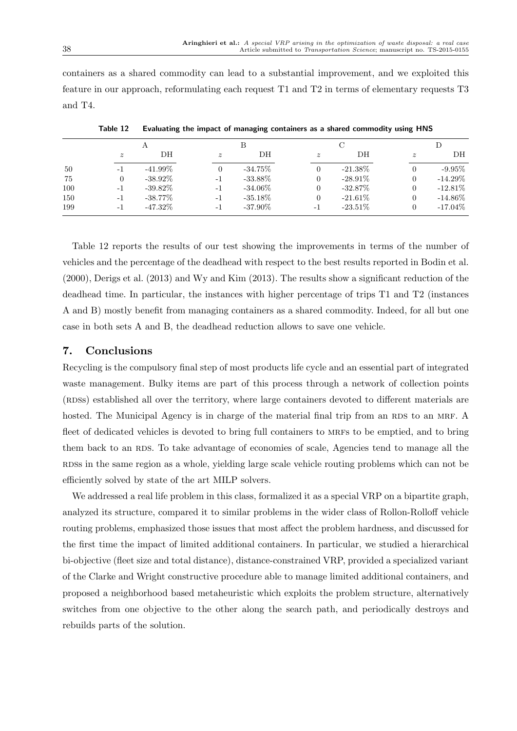containers as a shared commodity can lead to a substantial improvement, and we exploited this feature in our approach, reformulating each request T1 and T2 in terms of elementary requests T3 and T4.

| .           |            |             |            |             |            |             |            |
|-------------|------------|-------------|------------|-------------|------------|-------------|------------|
|             | А          |             |            |             |            |             |            |
| $\tilde{z}$ | DН         | $\tilde{z}$ | DH         | $\tilde{z}$ | DH         | $\tilde{z}$ | DН         |
| - 1         | $-41.99\%$ |             | $-34.75\%$ |             | $-21.38\%$ |             | $-9.95\%$  |
| 0           | $-38.92\%$ | -1          | $-33.88\%$ |             | $-28.91\%$ |             | $-14.29\%$ |
| $-1$        | $-39.82\%$ | $-1$        | $-34.06\%$ |             | $-32.87\%$ |             | $-12.81\%$ |
| -1          | $-38.77\%$ | $-1$        | $-35.18\%$ |             | $-21.61\%$ |             | $-14.86\%$ |
| -1          | $-47.32\%$ | -1          | $-37.90\%$ | -1          | $-23.51\%$ |             | $-17.04\%$ |
|             |            |             |            |             |            |             |            |

Table 12 Evaluating the impact of managing containers as a shared commodity using HNS

Table 12 reports the results of our test showing the improvements in terms of the number of vehicles and the percentage of the deadhead with respect to the best results reported in Bodin et al. (2000), Derigs et al. (2013) and Wy and Kim (2013). The results show a significant reduction of the deadhead time. In particular, the instances with higher percentage of trips T1 and T2 (instances A and B) mostly benefit from managing containers as a shared commodity. Indeed, for all but one case in both sets A and B, the deadhead reduction allows to save one vehicle.

# 7. Conclusions

Recycling is the compulsory final step of most products life cycle and an essential part of integrated waste management. Bulky items are part of this process through a network of collection points (RDSs) established all over the territory, where large containers devoted to different materials are hosted. The Municipal Agency is in charge of the material final trip from an RDS to an MRF. A fleet of dedicated vehicles is devoted to bring full containers to MRFs to be emptied, and to bring them back to an RDS. To take advantage of economies of scale, Agencies tend to manage all the RDSS in the same region as a whole, yielding large scale vehicle routing problems which can not be efficiently solved by state of the art MILP solvers.

We addressed a real life problem in this class, formalized it as a special VRP on a bipartite graph, analyzed its structure, compared it to similar problems in the wider class of Rollon-Rolloff vehicle routing problems, emphasized those issues that most affect the problem hardness, and discussed for the first time the impact of limited additional containers. In particular, we studied a hierarchical bi-objective (fleet size and total distance), distance-constrained VRP, provided a specialized variant of the Clarke and Wright constructive procedure able to manage limited additional containers, and proposed a neighborhood based metaheuristic which exploits the problem structure, alternatively switches from one objective to the other along the search path, and periodically destroys and rebuilds parts of the solution.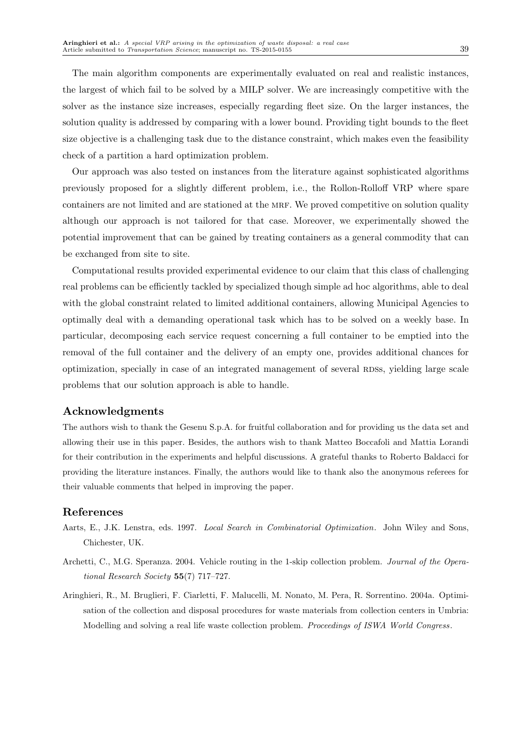The main algorithm components are experimentally evaluated on real and realistic instances, the largest of which fail to be solved by a MILP solver. We are increasingly competitive with the solver as the instance size increases, especially regarding fleet size. On the larger instances, the solution quality is addressed by comparing with a lower bound. Providing tight bounds to the fleet size objective is a challenging task due to the distance constraint, which makes even the feasibility check of a partition a hard optimization problem.

Our approach was also tested on instances from the literature against sophisticated algorithms previously proposed for a slightly different problem, i.e., the Rollon-Rolloff VRP where spare containers are not limited and are stationed at the MRF. We proved competitive on solution quality although our approach is not tailored for that case. Moreover, we experimentally showed the potential improvement that can be gained by treating containers as a general commodity that can be exchanged from site to site.

Computational results provided experimental evidence to our claim that this class of challenging real problems can be efficiently tackled by specialized though simple ad hoc algorithms, able to deal with the global constraint related to limited additional containers, allowing Municipal Agencies to optimally deal with a demanding operational task which has to be solved on a weekly base. In particular, decomposing each service request concerning a full container to be emptied into the removal of the full container and the delivery of an empty one, provides additional chances for optimization, specially in case of an integrated management of several RDSs, yielding large scale problems that our solution approach is able to handle.

# Acknowledgments

The authors wish to thank the Gesenu S.p.A. for fruitful collaboration and for providing us the data set and allowing their use in this paper. Besides, the authors wish to thank Matteo Boccafoli and Mattia Lorandi for their contribution in the experiments and helpful discussions. A grateful thanks to Roberto Baldacci for providing the literature instances. Finally, the authors would like to thank also the anonymous referees for their valuable comments that helped in improving the paper.

# References

- Aarts, E., J.K. Lenstra, eds. 1997. Local Search in Combinatorial Optimization. John Wiley and Sons, Chichester, UK.
- Archetti, C., M.G. Speranza. 2004. Vehicle routing in the 1-skip collection problem. Journal of the Operational Research Society 55(7) 717–727.
- Aringhieri, R., M. Bruglieri, F. Ciarletti, F. Malucelli, M. Nonato, M. Pera, R. Sorrentino. 2004a. Optimisation of the collection and disposal procedures for waste materials from collection centers in Umbria: Modelling and solving a real life waste collection problem. Proceedings of ISWA World Congress.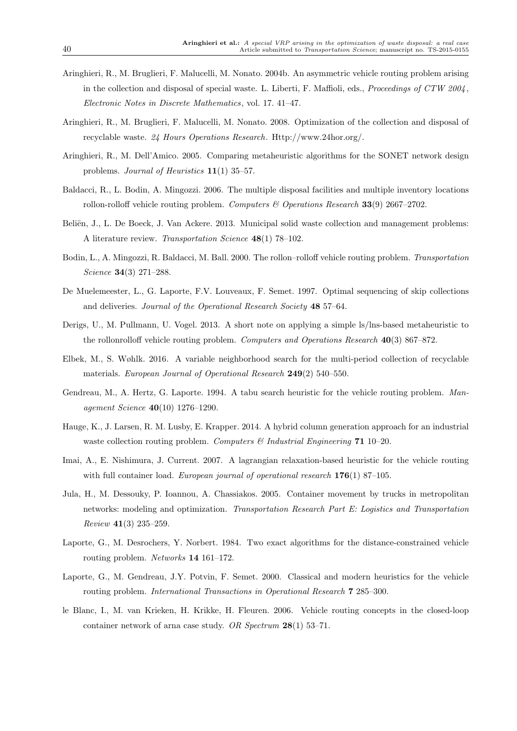- Aringhieri, R., M. Bruglieri, F. Malucelli, M. Nonato. 2004b. An asymmetric vehicle routing problem arising in the collection and disposal of special waste. L. Liberti, F. Maffioli, eds., *Proceedings of CTW 2004*, Electronic Notes in Discrete Mathematics, vol. 17. 41–47.
- Aringhieri, R., M. Bruglieri, F. Malucelli, M. Nonato. 2008. Optimization of the collection and disposal of recyclable waste. 24 Hours Operations Research. Http://www.24hor.org/.
- Aringhieri, R., M. Dell'Amico. 2005. Comparing metaheuristic algorithms for the SONET network design problems. Journal of Heuristics 11(1) 35–57.
- Baldacci, R., L. Bodin, A. Mingozzi. 2006. The multiple disposal facilities and multiple inventory locations rollon-rolloff vehicle routing problem. Computers  $\mathcal C$  Operations Research 33(9) 2667–2702.
- Beliën, J., L. De Boeck, J. Van Ackere. 2013. Municipal solid waste collection and management problems: A literature review. Transportation Science 48(1) 78–102.
- Bodin, L., A. Mingozzi, R. Baldacci, M. Ball. 2000. The rollon–rolloff vehicle routing problem. Transportation Science 34(3) 271–288.
- De Muelemeester, L., G. Laporte, F.V. Louveaux, F. Semet. 1997. Optimal sequencing of skip collections and deliveries. Journal of the Operational Research Society 48 57–64.
- Derigs, U., M. Pullmann, U. Vogel. 2013. A short note on applying a simple ls/lns-based metaheuristic to the rollonrolloff vehicle routing problem. Computers and Operations Research 40(3) 867–872.
- Elbek, M., S. Wøhlk. 2016. A variable neighborhood search for the multi-period collection of recyclable materials. European Journal of Operational Research 249(2) 540-550.
- Gendreau, M., A. Hertz, G. Laporte. 1994. A tabu search heuristic for the vehicle routing problem. Management Science 40(10) 1276–1290.
- Hauge, K., J. Larsen, R. M. Lusby, E. Krapper. 2014. A hybrid column generation approach for an industrial waste collection routing problem. Computers  $\mathcal{C}$  Industrial Engineering 71 10–20.
- Imai, A., E. Nishimura, J. Current. 2007. A lagrangian relaxation-based heuristic for the vehicle routing with full container load. European journal of operational research  $176(1)$  87-105.
- Jula, H., M. Dessouky, P. Ioannou, A. Chassiakos. 2005. Container movement by trucks in metropolitan networks: modeling and optimization. Transportation Research Part E: Logistics and Transportation Review 41(3) 235–259.
- Laporte, G., M. Desrochers, Y. Norbert. 1984. Two exact algorithms for the distance-constrained vehicle routing problem. Networks 14 161–172.
- Laporte, G., M. Gendreau, J.Y. Potvin, F. Semet. 2000. Classical and modern heuristics for the vehicle routing problem. International Transactions in Operational Research 7 285–300.
- le Blanc, I., M. van Krieken, H. Krikke, H. Fleuren. 2006. Vehicle routing concepts in the closed-loop container network of arna case study. OR Spectrum 28(1) 53–71.